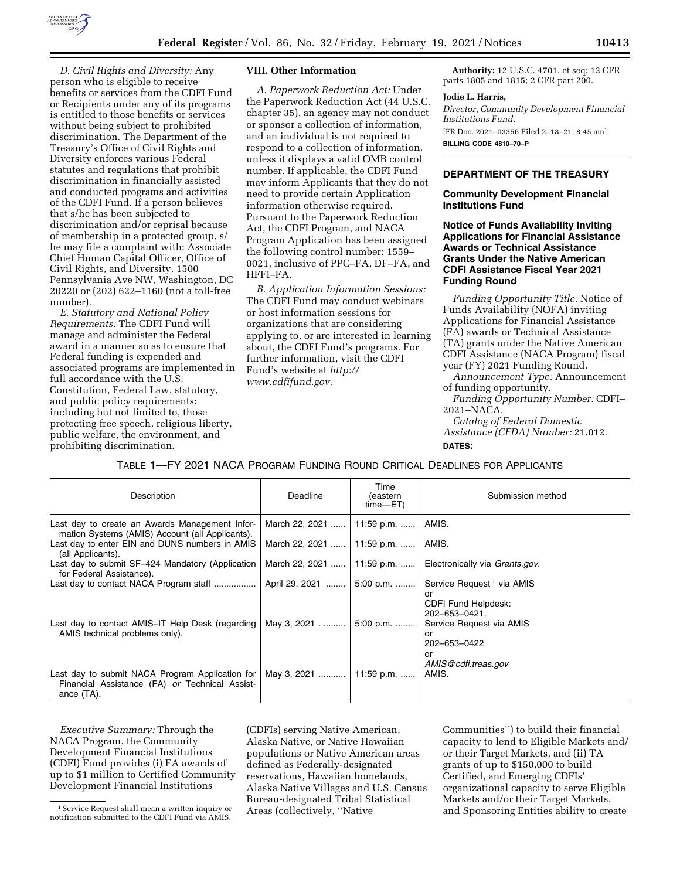

*D. Civil Rights and Diversity:* Any person who is eligible to receive benefits or services from the CDFI Fund or Recipients under any of its programs is entitled to those benefits or services without being subject to prohibited discrimination. The Department of the Treasury's Office of Civil Rights and Diversity enforces various Federal statutes and regulations that prohibit discrimination in financially assisted and conducted programs and activities of the CDFI Fund. If a person believes that s/he has been subjected to discrimination and/or reprisal because of membership in a protected group, s/ he may file a complaint with: Associate Chief Human Capital Officer, Office of Civil Rights, and Diversity, 1500 Pennsylvania Ave NW, Washington, DC 20220 or (202) 622–1160 (not a toll-free number).

*E. Statutory and National Policy Requirements:* The CDFI Fund will manage and administer the Federal award in a manner so as to ensure that Federal funding is expended and associated programs are implemented in full accordance with the U.S. Constitution, Federal Law, statutory, and public policy requirements: including but not limited to, those protecting free speech, religious liberty, public welfare, the environment, and prohibiting discrimination.

#### **VIII. Other Information**

*A. Paperwork Reduction Act:* Under the Paperwork Reduction Act (44 U.S.C. chapter 35), an agency may not conduct or sponsor a collection of information, and an individual is not required to respond to a collection of information, unless it displays a valid OMB control number. If applicable, the CDFI Fund may inform Applicants that they do not need to provide certain Application information otherwise required. Pursuant to the Paperwork Reduction Act, the CDFI Program, and NACA Program Application has been assigned the following control number: 1559– 0021, inclusive of PPC–FA, DF–FA, and HFFI–FA.

*B. Application Information Sessions:*  The CDFI Fund may conduct webinars or host information sessions for organizations that are considering applying to, or are interested in learning about, the CDFI Fund's programs. For further information, visit the CDFI Fund's website at *[http://](http://www.cdfifund.gov) [www.cdfifund.gov.](http://www.cdfifund.gov)* 

**Authority:** 12 U.S.C. 4701, et seq; 12 CFR parts 1805 and 1815; 2 CFR part 200.

### **Jodie L. Harris,**

*Director, Community Development Financial Institutions Fund.*  [FR Doc. 2021–03356 Filed 2–18–21; 8:45 am]

**BILLING CODE 4810–70–P** 

#### **DEPARTMENT OF THE TREASURY**

**Community Development Financial Institutions Fund** 

**Notice of Funds Availability Inviting Applications for Financial Assistance Awards or Technical Assistance Grants Under the Native American CDFI Assistance Fiscal Year 2021 Funding Round** 

*Funding Opportunity Title:* Notice of Funds Availability (NOFA) inviting Applications for Financial Assistance (FA) awards or Technical Assistance (TA) grants under the Native American CDFI Assistance (NACA Program) fiscal year (FY) 2021 Funding Round.

*Announcement Type:* Announcement of funding opportunity.

*Funding Opportunity Number:* CDFI– 2021–NACA. *Catalog of Federal Domestic* 

*Assistance (CFDA) Number:* 21.012. **DATES:** 

| Description                                                                                                     | Deadline                     | Time<br>(eastern<br>time—ET) | Submission method                                                                                   |
|-----------------------------------------------------------------------------------------------------------------|------------------------------|------------------------------|-----------------------------------------------------------------------------------------------------|
| Last day to create an Awards Management Infor-<br>mation Systems (AMIS) Account (all Applicants).               | March 22, 2021    11:59 p.m. |                              | AMIS.                                                                                               |
| Last day to enter EIN and DUNS numbers in AMIS<br>(all Applicants).                                             | March 22, 2021               | 11:59 p.m.                   | AMIS.                                                                                               |
| Last day to submit SF-424 Mandatory (Application<br>for Federal Assistance).                                    | March 22, 2021    11:59 p.m. |                              | Electronically via Grants.gov.                                                                      |
| Last day to contact NACA Program staff                                                                          | April 29, 2021               | 5:00 p.m.                    | Service Request <sup>1</sup> via AMIS                                                               |
| Last day to contact AMIS-IT Help Desk (regarding  <br>AMIS technical problems only).                            | May 3, 2021                  | $5:00$ p.m.                  | or<br><b>CDFI Fund Helpdesk:</b><br>202-653-0421.<br>Service Request via AMIS<br>or<br>202-653-0422 |
| Last day to submit NACA Program Application for<br>Financial Assistance (FA) or Technical Assist-<br>ance (TA). | May 3, 2021                  | 11:59 p.m.                   | or<br>AMIS@cdfi.treas.gov<br>AMIS.                                                                  |

TABLE 1—FY 2021 NACA PROGRAM FUNDING ROUND CRITICAL DEADLINES FOR APPLICANTS

*Executive Summary:* Through the NACA Program, the Community Development Financial Institutions (CDFI) Fund provides (i) FA awards of up to \$1 million to Certified Community Development Financial Institutions

1Service Request shall mean a written inquiry or notification submitted to the CDFI Fund via AMIS.

(CDFIs) serving Native American, Alaska Native, or Native Hawaiian populations or Native American areas defined as Federally-designated reservations, Hawaiian homelands, Alaska Native Villages and U.S. Census Bureau-designated Tribal Statistical Areas (collectively, ''Native

Communities'') to build their financial capacity to lend to Eligible Markets and/ or their Target Markets, and (ii) TA grants of up to \$150,000 to build Certified, and Emerging CDFIs' organizational capacity to serve Eligible Markets and/or their Target Markets, and Sponsoring Entities ability to create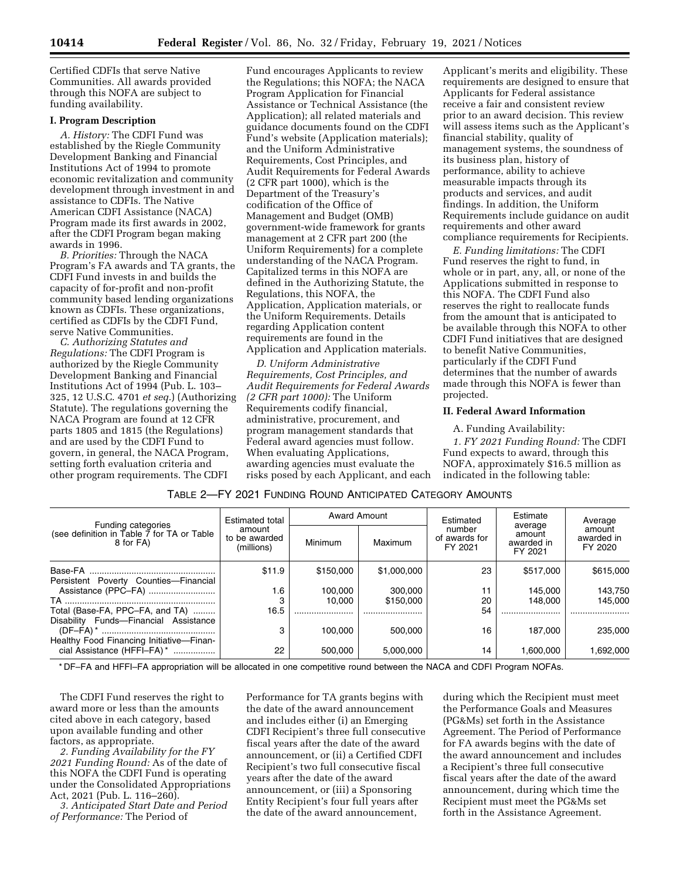Certified CDFIs that serve Native Communities. All awards provided through this NOFA are subject to funding availability.

#### **I. Program Description**

*A. History:* The CDFI Fund was established by the Riegle Community Development Banking and Financial Institutions Act of 1994 to promote economic revitalization and community development through investment in and assistance to CDFIs. The Native American CDFI Assistance (NACA) Program made its first awards in 2002, after the CDFI Program began making awards in 1996.

*B. Priorities:* Through the NACA Program's FA awards and TA grants, the CDFI Fund invests in and builds the capacity of for-profit and non-profit community based lending organizations known as CDFIs. These organizations, certified as CDFIs by the CDFI Fund, serve Native Communities.

*C. Authorizing Statutes and Regulations:* The CDFI Program is authorized by the Riegle Community Development Banking and Financial Institutions Act of 1994 (Pub. L. 103– 325, 12 U.S.C. 4701 *et seq.*) (Authorizing Statute). The regulations governing the NACA Program are found at 12 CFR parts 1805 and 1815 (the Regulations) and are used by the CDFI Fund to govern, in general, the NACA Program, setting forth evaluation criteria and other program requirements. The CDFI

Fund encourages Applicants to review the Regulations; this NOFA; the NACA Program Application for Financial Assistance or Technical Assistance (the Application); all related materials and guidance documents found on the CDFI Fund's website (Application materials); and the Uniform Administrative Requirements, Cost Principles, and Audit Requirements for Federal Awards (2 CFR part 1000), which is the Department of the Treasury's codification of the Office of Management and Budget (OMB) government-wide framework for grants management at 2 CFR part 200 (the Uniform Requirements) for a complete understanding of the NACA Program. Capitalized terms in this NOFA are defined in the Authorizing Statute, the Regulations, this NOFA, the Application, Application materials, or the Uniform Requirements. Details regarding Application content requirements are found in the Application and Application materials.

*D. Uniform Administrative Requirements, Cost Principles, and Audit Requirements for Federal Awards (2 CFR part 1000):* The Uniform Requirements codify financial, administrative, procurement, and program management standards that Federal award agencies must follow. When evaluating Applications, awarding agencies must evaluate the risks posed by each Applicant, and each Applicant's merits and eligibility. These requirements are designed to ensure that Applicants for Federal assistance receive a fair and consistent review prior to an award decision. This review will assess items such as the Applicant's financial stability, quality of management systems, the soundness of its business plan, history of performance, ability to achieve measurable impacts through its products and services, and audit findings. In addition, the Uniform Requirements include guidance on audit requirements and other award compliance requirements for Recipients.

*E. Funding limitations:* The CDFI Fund reserves the right to fund, in whole or in part, any, all, or none of the Applications submitted in response to this NOFA. The CDFI Fund also reserves the right to reallocate funds from the amount that is anticipated to be available through this NOFA to other CDFI Fund initiatives that are designed to benefit Native Communities, particularly if the CDFI Fund determines that the number of awards made through this NOFA is fewer than projected.

#### **II. Federal Award Information**

A. Funding Availability:

*1. FY 2021 Funding Round:* The CDFI Fund expects to award, through this NOFA, approximately \$16.5 million as indicated in the following table:

# TABLE 2—FY 2021 FUNDING ROUND ANTICIPATED CATEGORY AMOUNTS

|                                                                                | <b>Estimated total</b><br>amount<br>to be awarded<br>(millions) | <b>Award Amount</b> |             | Estimated                          | Estimate                                   | Average                         |
|--------------------------------------------------------------------------------|-----------------------------------------------------------------|---------------------|-------------|------------------------------------|--------------------------------------------|---------------------------------|
| Funding categories<br>(see definition in Table 7 for TA or Table)<br>8 for FA) |                                                                 | Minimum             | Maximum     | number<br>of awards for<br>FY 2021 | average<br>amount<br>awarded in<br>FY 2021 | amount<br>awarded in<br>FY 2020 |
|                                                                                | \$11.9                                                          | \$150,000           | \$1,000,000 | 23                                 | \$517,000                                  | \$615,000                       |
| Persistent Poverty Counties-Financial                                          |                                                                 |                     |             |                                    |                                            |                                 |
| Assistance (PPC-FA)                                                            | 1.6                                                             | 100.000             | 300,000     | 11                                 | 145.000                                    | 143.750                         |
|                                                                                |                                                                 | 10.000              | \$150,000   | 20                                 | 148,000                                    | 145.000                         |
| Total (Base-FA, PPC-FA, and TA)                                                | 16.5                                                            |                     |             | 54                                 |                                            |                                 |
| Disability Funds-Financial Assistance                                          |                                                                 |                     |             |                                    |                                            |                                 |
|                                                                                | 3                                                               | 100.000             | 500.000     | 16                                 | 187.000                                    | 235,000                         |
| Healthy Food Financing Initiative-Finan-                                       |                                                                 |                     |             |                                    |                                            |                                 |
| cial Assistance (HFFI-FA) *                                                    | 22                                                              | 500.000             | 5.000.000   | 14                                 | 1.600.000                                  | 1.692.000                       |

\* DF–FA and HFFI–FA appropriation will be allocated in one competitive round between the NACA and CDFI Program NOFAs.

The CDFI Fund reserves the right to award more or less than the amounts cited above in each category, based upon available funding and other factors, as appropriate.

*2. Funding Availability for the FY 2021 Funding Round:* As of the date of this NOFA the CDFI Fund is operating under the Consolidated Appropriations Act, 2021 (Pub. L. 116–260).

*3. Anticipated Start Date and Period of Performance:* The Period of

Performance for TA grants begins with the date of the award announcement and includes either (i) an Emerging CDFI Recipient's three full consecutive fiscal years after the date of the award announcement, or (ii) a Certified CDFI Recipient's two full consecutive fiscal years after the date of the award announcement, or (iii) a Sponsoring Entity Recipient's four full years after the date of the award announcement,

during which the Recipient must meet the Performance Goals and Measures (PG&Ms) set forth in the Assistance Agreement. The Period of Performance for FA awards begins with the date of the award announcement and includes a Recipient's three full consecutive fiscal years after the date of the award announcement, during which time the Recipient must meet the PG&Ms set forth in the Assistance Agreement.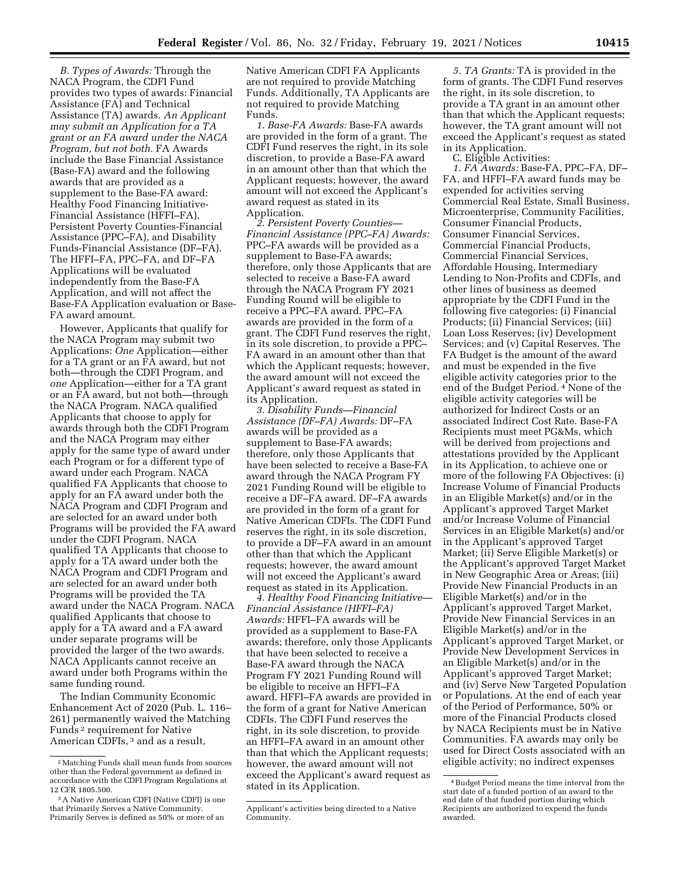*B. Types of Awards:* Through the NACA Program, the CDFI Fund provides two types of awards: Financial Assistance (FA) and Technical Assistance (TA) awards. *An Applicant may submit an Application for a TA grant or an FA award under the NACA Program, but not both.* FA Awards include the Base Financial Assistance (Base-FA) award and the following awards that are provided as a supplement to the Base-FA award: Healthy Food Financing Initiative-Financial Assistance (HFFI–FA), Persistent Poverty Counties-Financial Assistance (PPC–FA), and Disability Funds-Financial Assistance (DF–FA). The HFFI–FA, PPC–FA, and DF–FA Applications will be evaluated independently from the Base-FA Application, and will not affect the Base-FA Application evaluation or Base-FA award amount.

However, Applicants that qualify for the NACA Program may submit two Applications: *One* Application—either for a TA grant or an FA award, but not both—through the CDFI Program, and *one* Application—either for a TA grant or an FA award, but not both—through the NACA Program. NACA qualified Applicants that choose to apply for awards through both the CDFI Program and the NACA Program may either apply for the same type of award under each Program or for a different type of award under each Program. NACA qualified FA Applicants that choose to apply for an FA award under both the NACA Program and CDFI Program and are selected for an award under both Programs will be provided the FA award under the CDFI Program. NACA qualified TA Applicants that choose to apply for a TA award under both the NACA Program and CDFI Program and are selected for an award under both Programs will be provided the TA award under the NACA Program. NACA qualified Applicants that choose to apply for a TA award and a FA award under separate programs will be provided the larger of the two awards. NACA Applicants cannot receive an award under both Programs within the same funding round.

The Indian Community Economic Enhancement Act of 2020 (Pub. L. 116– 261) permanently waived the Matching Funds 2 requirement for Native American CDFIs, 3 and as a result,

Native American CDFI FA Applicants are not required to provide Matching Funds. Additionally, TA Applicants are not required to provide Matching Funds.

*1. Base-FA Awards:* Base-FA awards are provided in the form of a grant. The CDFI Fund reserves the right, in its sole discretion, to provide a Base-FA award in an amount other than that which the Applicant requests; however, the award amount will not exceed the Applicant's award request as stated in its Application.

*2. Persistent Poverty Counties— Financial Assistance (PPC–FA) Awards:*  PPC–FA awards will be provided as a supplement to Base-FA awards; therefore, only those Applicants that are selected to receive a Base-FA award through the NACA Program FY 2021 Funding Round will be eligible to receive a PPC–FA award. PPC–FA awards are provided in the form of a grant. The CDFI Fund reserves the right, in its sole discretion, to provide a PPC– FA award in an amount other than that which the Applicant requests; however, the award amount will not exceed the Applicant's award request as stated in its Application.

*3. Disability Funds—Financial Assistance (DF–FA) Awards:* DF–FA awards will be provided as a supplement to Base-FA awards; therefore, only those Applicants that have been selected to receive a Base-FA award through the NACA Program FY 2021 Funding Round will be eligible to receive a DF–FA award. DF–FA awards are provided in the form of a grant for Native American CDFIs. The CDFI Fund reserves the right, in its sole discretion, to provide a DF–FA award in an amount other than that which the Applicant requests; however, the award amount will not exceed the Applicant's award request as stated in its Application.

*4. Healthy Food Financing Initiative— Financial Assistance (HFFI–FA) Awards:* HFFI–FA awards will be provided as a supplement to Base-FA awards; therefore, only those Applicants that have been selected to receive a Base-FA award through the NACA Program FY 2021 Funding Round will be eligible to receive an HFFI–FA award. HFFI–FA awards are provided in the form of a grant for Native American CDFIs. The CDFI Fund reserves the right, in its sole discretion, to provide an HFFI–FA award in an amount other than that which the Applicant requests; however, the award amount will not exceed the Applicant's award request as stated in its Application.

*5. TA Grants:* TA is provided in the form of grants. The CDFI Fund reserves the right, in its sole discretion, to provide a TA grant in an amount other than that which the Applicant requests; however, the TA grant amount will not exceed the Applicant's request as stated in its Application.

C. Eligible Activities:

*1. FA Awards:* Base-FA, PPC–FA, DF– FA, and HFFI–FA award funds may be expended for activities serving Commercial Real Estate, Small Business, Microenterprise, Community Facilities, Consumer Financial Products, Consumer Financial Services, Commercial Financial Products, Commercial Financial Services, Affordable Housing, Intermediary Lending to Non-Profits and CDFIs, and other lines of business as deemed appropriate by the CDFI Fund in the following five categories: (i) Financial Products; (ii) Financial Services; (iii) Loan Loss Reserves; (iv) Development Services; and (v) Capital Reserves. The FA Budget is the amount of the award and must be expended in the five eligible activity categories prior to the end of the Budget Period. 4 None of the eligible activity categories will be authorized for Indirect Costs or an associated Indirect Cost Rate. Base-FA Recipients must meet PG&Ms, which will be derived from projections and attestations provided by the Applicant in its Application, to achieve one or more of the following FA Objectives: (i) Increase Volume of Financial Products in an Eligible Market(s) and/or in the Applicant's approved Target Market and/or Increase Volume of Financial Services in an Eligible Market(s) and/or in the Applicant's approved Target Market; (ii) Serve Eligible Market(s) or the Applicant's approved Target Market in New Geographic Area or Areas; (iii) Provide New Financial Products in an Eligible Market(s) and/or in the Applicant's approved Target Market, Provide New Financial Services in an Eligible Market(s) and/or in the Applicant's approved Target Market, or Provide New Development Services in an Eligible Market(s) and/or in the Applicant's approved Target Market; and (iv) Serve New Targeted Population or Populations. At the end of each year of the Period of Performance, 50% or more of the Financial Products closed by NACA Recipients must be in Native Communities. FA awards may only be used for Direct Costs associated with an eligible activity; no indirect expenses

<sup>2</sup>Matching Funds shall mean funds from sources other than the Federal government as defined in accordance with the CDFI Program Regulations at 12 CFR 1805.500.

<sup>3</sup>A Native American CDFI (Native CDFI) is one that Primarily Serves a Native Community. Primarily Serves is defined as 50% or more of an

Applicant's activities being directed to a Native Community.

<sup>4</sup>Budget Period means the time interval from the start date of a funded portion of an award to the end date of that funded portion during which Recipients are authorized to expend the funds awarded.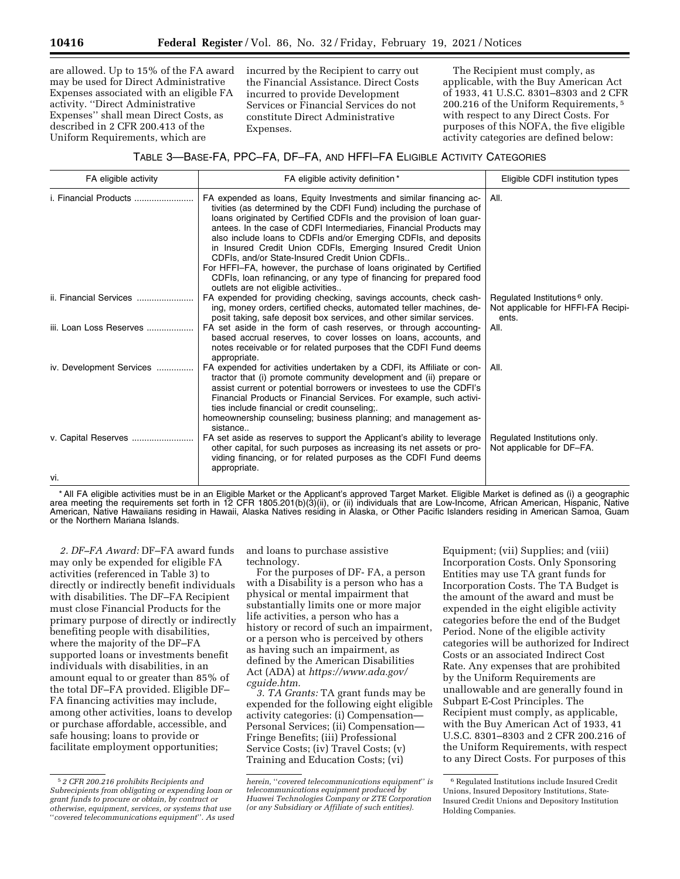are allowed. Up to 15% of the FA award may be used for Direct Administrative Expenses associated with an eligible FA activity. ''Direct Administrative Expenses'' shall mean Direct Costs, as described in 2 CFR 200.413 of the Uniform Requirements, which are

incurred by the Recipient to carry out the Financial Assistance. Direct Costs incurred to provide Development Services or Financial Services do not constitute Direct Administrative Expenses.

The Recipient must comply, as applicable, with the Buy American Act of 1933, 41 U.S.C. 8301–8303 and 2 CFR 200.216 of the Uniform Requirements, 5 with respect to any Direct Costs. For purposes of this NOFA, the five eligible activity categories are defined below:

# TABLE 3—BASE-FA, PPC–FA, DF–FA, AND HFFI–FA ELIGIBLE ACTIVITY CATEGORIES

| FA eligible activity          | FA eligible activity definition*                                                                                                                                                                                                                                                                                                                                                                                                                                                                                                                                                                                                                                 | Eligible CDFI institution types                                                          |
|-------------------------------|------------------------------------------------------------------------------------------------------------------------------------------------------------------------------------------------------------------------------------------------------------------------------------------------------------------------------------------------------------------------------------------------------------------------------------------------------------------------------------------------------------------------------------------------------------------------------------------------------------------------------------------------------------------|------------------------------------------------------------------------------------------|
| <i>i. Financial Products </i> | FA expended as loans, Equity Investments and similar financing ac-<br>tivities (as determined by the CDFI Fund) including the purchase of<br>loans originated by Certified CDFIs and the provision of loan guar-<br>antees. In the case of CDFI Intermediaries, Financial Products may<br>also include loans to CDFIs and/or Emerging CDFIs, and deposits<br>in Insured Credit Union CDFIs, Emerging Insured Credit Union<br>CDFIs, and/or State-Insured Credit Union CDFIs<br>For HFFI-FA, however, the purchase of loans originated by Certified<br>CDFIs, loan refinancing, or any type of financing for prepared food<br>outlets are not eligible activities | All.                                                                                     |
| ii. Financial Services        | FA expended for providing checking, savings accounts, check cash-<br>ing, money orders, certified checks, automated teller machines, de-<br>posit taking, safe deposit box services, and other similar services.                                                                                                                                                                                                                                                                                                                                                                                                                                                 | Regulated Institutions <sup>6</sup> only.<br>Not applicable for HFFI-FA Recipi-<br>ents. |
| iii. Loan Loss Reserves       | FA set aside in the form of cash reserves, or through accounting-<br>based accrual reserves, to cover losses on loans, accounts, and<br>notes receivable or for related purposes that the CDFI Fund deems<br>appropriate.                                                                                                                                                                                                                                                                                                                                                                                                                                        | All.                                                                                     |
| iv. Development Services      | FA expended for activities undertaken by a CDFI, its Affiliate or con-<br>tractor that (i) promote community development and (ii) prepare or<br>assist current or potential borrowers or investees to use the CDFI's<br>Financial Products or Financial Services. For example, such activi-<br>ties include financial or credit counseling;.<br>homeownership counseling; business planning; and management as-<br>sistance                                                                                                                                                                                                                                      | All.                                                                                     |
| v. Capital Reserves           | FA set aside as reserves to support the Applicant's ability to leverage<br>other capital, for such purposes as increasing its net assets or pro-<br>viding financing, or for related purposes as the CDFI Fund deems<br>appropriate.                                                                                                                                                                                                                                                                                                                                                                                                                             | Regulated Institutions only.<br>Not applicable for DF-FA.                                |
| vi.                           |                                                                                                                                                                                                                                                                                                                                                                                                                                                                                                                                                                                                                                                                  |                                                                                          |

\* All FA eligible activities must be in an Eligible Market or the Applicant's approved Target Market. Eligible Market is defined as (i) a geographic area meeting the requirements set forth in 12 CFR 1805.201(b)(3)(ii), or (ii) individuals that are Low-Income, African American, Hispanic, Native American, Native Hawaiians residing in Hawaii, Alaska Natives residing in Alaska, or Other Pacific Islanders residing in American Samoa, Guam or the Northern Mariana Islands.

*2. DF–FA Award:* DF–FA award funds may only be expended for eligible FA activities (referenced in Table 3) to directly or indirectly benefit individuals with disabilities. The DF–FA Recipient must close Financial Products for the primary purpose of directly or indirectly benefiting people with disabilities, where the majority of the DF–FA supported loans or investments benefit individuals with disabilities, in an amount equal to or greater than 85% of the total DF–FA provided. Eligible DF– FA financing activities may include, among other activities, loans to develop or purchase affordable, accessible, and safe housing; loans to provide or facilitate employment opportunities;

and loans to purchase assistive technology.

For the purposes of DF- FA, a person with a Disability is a person who has a physical or mental impairment that substantially limits one or more major life activities, a person who has a history or record of such an impairment, or a person who is perceived by others as having such an impairment, as defined by the American Disabilities Act (ADA) at *[https://www.ada.gov/](https://www.ada.gov/cguide.htm) [cguide.htm.](https://www.ada.gov/cguide.htm)* 

*3. TA Grants:* TA grant funds may be expended for the following eight eligible activity categories: (i) Compensation— Personal Services; (ii) Compensation— Fringe Benefits; (iii) Professional Service Costs; (iv) Travel Costs; (v) Training and Education Costs; (vi)

Equipment; (vii) Supplies; and (viii) Incorporation Costs. Only Sponsoring Entities may use TA grant funds for Incorporation Costs. The TA Budget is the amount of the award and must be expended in the eight eligible activity categories before the end of the Budget Period. None of the eligible activity categories will be authorized for Indirect Costs or an associated Indirect Cost Rate. Any expenses that are prohibited by the Uniform Requirements are unallowable and are generally found in Subpart E-Cost Principles. The Recipient must comply, as applicable, with the Buy American Act of 1933, 41 U.S.C. 8301–8303 and 2 CFR 200.216 of the Uniform Requirements, with respect to any Direct Costs. For purposes of this

<sup>5</sup> *2 CFR 200.216 prohibits Recipients and Subrecipients from obligating or expending loan or grant funds to procure or obtain, by contract or otherwise, equipment, services, or systems that use*  ''*covered telecommunications equipment*''*. As used* 

*herein,* ''*covered telecommunications equipment*'' *is telecommunications equipment produced by Huawei Technologies Company or ZTE Corporation (or any Subsidiary or Affiliate of such entities).* 

<sup>6</sup> Regulated Institutions include Insured Credit Unions, Insured Depository Institutions, State-Insured Credit Unions and Depository Institution Holding Companies.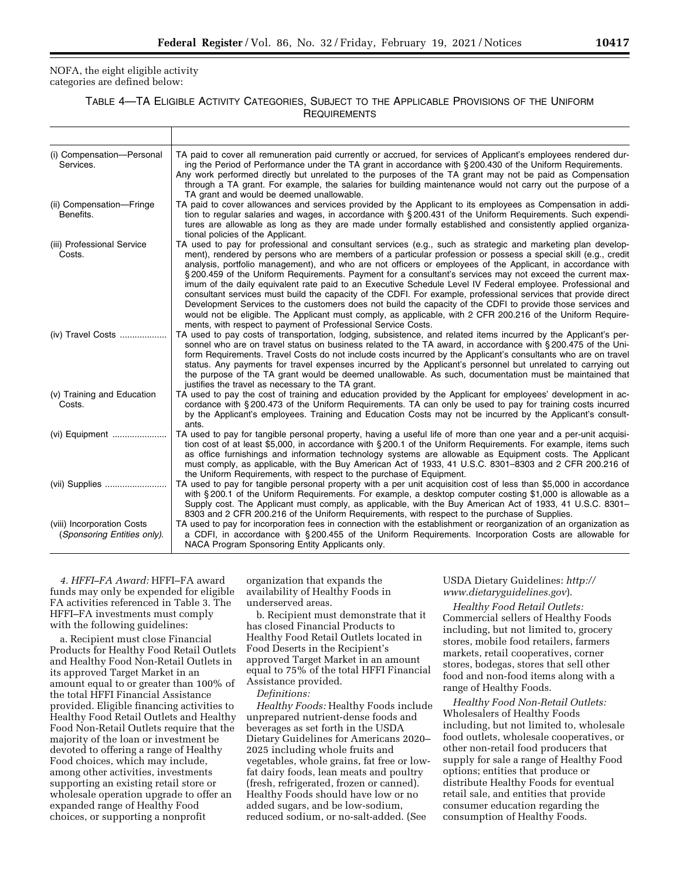#### NOFA, the eight eligible activity categories are defined below:

# TABLE 4—TA ELIGIBLE ACTIVITY CATEGORIES, SUBJECT TO THE APPLICABLE PROVISIONS OF THE UNIFORM **REQUIREMENTS**

| (i) Compensation-Personal<br>Services.                    | TA paid to cover all remuneration paid currently or accrued, for services of Applicant's employees rendered dur-<br>ing the Period of Performance under the TA grant in accordance with § 200.430 of the Uniform Requirements.<br>Any work performed directly but unrelated to the purposes of the TA grant may not be paid as Compensation<br>through a TA grant. For example, the salaries for building maintenance would not carry out the purpose of a<br>TA grant and would be deemed unallowable.                                                                                                                                                                                                                                                                                                                                                                                                                                                                                     |
|-----------------------------------------------------------|---------------------------------------------------------------------------------------------------------------------------------------------------------------------------------------------------------------------------------------------------------------------------------------------------------------------------------------------------------------------------------------------------------------------------------------------------------------------------------------------------------------------------------------------------------------------------------------------------------------------------------------------------------------------------------------------------------------------------------------------------------------------------------------------------------------------------------------------------------------------------------------------------------------------------------------------------------------------------------------------|
| (ii) Compensation-Fringe<br>Benefits.                     | TA paid to cover allowances and services provided by the Applicant to its employees as Compensation in addi-<br>tion to regular salaries and wages, in accordance with § 200.431 of the Uniform Requirements. Such expendi-<br>tures are allowable as long as they are made under formally established and consistently applied organiza-<br>tional policies of the Applicant.                                                                                                                                                                                                                                                                                                                                                                                                                                                                                                                                                                                                              |
| (iii) Professional Service<br>Costs.                      | TA used to pay for professional and consultant services (e.g., such as strategic and marketing plan develop-<br>ment), rendered by persons who are members of a particular profession or possess a special skill (e.g., credit<br>analysis, portfolio management), and who are not officers or employees of the Applicant, in accordance with<br>§200.459 of the Uniform Requirements. Payment for a consultant's services may not exceed the current max-<br>imum of the daily equivalent rate paid to an Executive Schedule Level IV Federal employee. Professional and<br>consultant services must build the capacity of the CDFI. For example, professional services that provide direct<br>Development Services to the customers does not build the capacity of the CDFI to provide those services and<br>would not be eligible. The Applicant must comply, as applicable, with 2 CFR 200.216 of the Uniform Require-<br>ments, with respect to payment of Professional Service Costs. |
| (iv) Travel Costs                                         | TA used to pay costs of transportation, lodging, subsistence, and related items incurred by the Applicant's per-<br>sonnel who are on travel status on business related to the TA award, in accordance with § 200.475 of the Uni-<br>form Requirements. Travel Costs do not include costs incurred by the Applicant's consultants who are on travel<br>status. Any payments for travel expenses incurred by the Applicant's personnel but unrelated to carrying out<br>the purpose of the TA grant would be deemed unallowable. As such, documentation must be maintained that<br>justifies the travel as necessary to the TA grant.                                                                                                                                                                                                                                                                                                                                                        |
| (v) Training and Education<br>Costs.                      | TA used to pay the cost of training and education provided by the Applicant for employees' development in ac-<br>cordance with § 200.473 of the Uniform Requirements. TA can only be used to pay for training costs incurred<br>by the Applicant's employees. Training and Education Costs may not be incurred by the Applicant's consult-<br>ants.                                                                                                                                                                                                                                                                                                                                                                                                                                                                                                                                                                                                                                         |
| (vi) Equipment                                            | TA used to pay for tangible personal property, having a useful life of more than one year and a per-unit acquisi-<br>tion cost of at least \$5,000, in accordance with § 200.1 of the Uniform Requirements. For example, items such<br>as office furnishings and information technology systems are allowable as Equipment costs. The Applicant<br>must comply, as applicable, with the Buy American Act of 1933, 41 U.S.C. 8301-8303 and 2 CFR 200.216 of<br>the Uniform Requirements, with respect to the purchase of Equipment.                                                                                                                                                                                                                                                                                                                                                                                                                                                          |
|                                                           | TA used to pay for tangible personal property with a per unit acquisition cost of less than \$5,000 in accordance<br>with § 200.1 of the Uniform Requirements. For example, a desktop computer costing \$1,000 is allowable as a<br>Supply cost. The Applicant must comply, as applicable, with the Buy American Act of 1933, 41 U.S.C. 8301-<br>8303 and 2 CFR 200.216 of the Uniform Requirements, with respect to the purchase of Supplies.                                                                                                                                                                                                                                                                                                                                                                                                                                                                                                                                              |
| (viii) Incorporation Costs<br>(Sponsoring Entities only). | TA used to pay for incorporation fees in connection with the establishment or reorganization of an organization as<br>a CDFI, in accordance with § 200.455 of the Uniform Requirements. Incorporation Costs are allowable for<br>NACA Program Sponsoring Entity Applicants only.                                                                                                                                                                                                                                                                                                                                                                                                                                                                                                                                                                                                                                                                                                            |

*4. HFFI–FA Award:* HFFI–FA award funds may only be expended for eligible FA activities referenced in Table 3. The HFFI–FA investments must comply with the following guidelines:

a. Recipient must close Financial Products for Healthy Food Retail Outlets and Healthy Food Non-Retail Outlets in its approved Target Market in an amount equal to or greater than 100% of the total HFFI Financial Assistance provided. Eligible financing activities to Healthy Food Retail Outlets and Healthy Food Non-Retail Outlets require that the majority of the loan or investment be devoted to offering a range of Healthy Food choices, which may include, among other activities, investments supporting an existing retail store or wholesale operation upgrade to offer an expanded range of Healthy Food choices, or supporting a nonprofit

organization that expands the availability of Healthy Foods in underserved areas.

b. Recipient must demonstrate that it has closed Financial Products to Healthy Food Retail Outlets located in Food Deserts in the Recipient's approved Target Market in an amount equal to 75% of the total HFFI Financial Assistance provided.

*Definitions:* 

*Healthy Foods:* Healthy Foods include unprepared nutrient-dense foods and beverages as set forth in the USDA Dietary Guidelines for Americans 2020– 2025 including whole fruits and vegetables, whole grains, fat free or lowfat dairy foods, lean meats and poultry (fresh, refrigerated, frozen or canned). Healthy Foods should have low or no added sugars, and be low-sodium, reduced sodium, or no-salt-added. (See

USDA Dietary Guidelines: *[http://](http://www.dietaryguidelines.gov) [www.dietaryguidelines.gov](http://www.dietaryguidelines.gov)*).

*Healthy Food Retail Outlets:*  Commercial sellers of Healthy Foods including, but not limited to, grocery stores, mobile food retailers, farmers markets, retail cooperatives, corner stores, bodegas, stores that sell other food and non-food items along with a range of Healthy Foods.

*Healthy Food Non-Retail Outlets:*  Wholesalers of Healthy Foods including, but not limited to, wholesale food outlets, wholesale cooperatives, or other non-retail food producers that supply for sale a range of Healthy Food options; entities that produce or distribute Healthy Foods for eventual retail sale, and entities that provide consumer education regarding the consumption of Healthy Foods.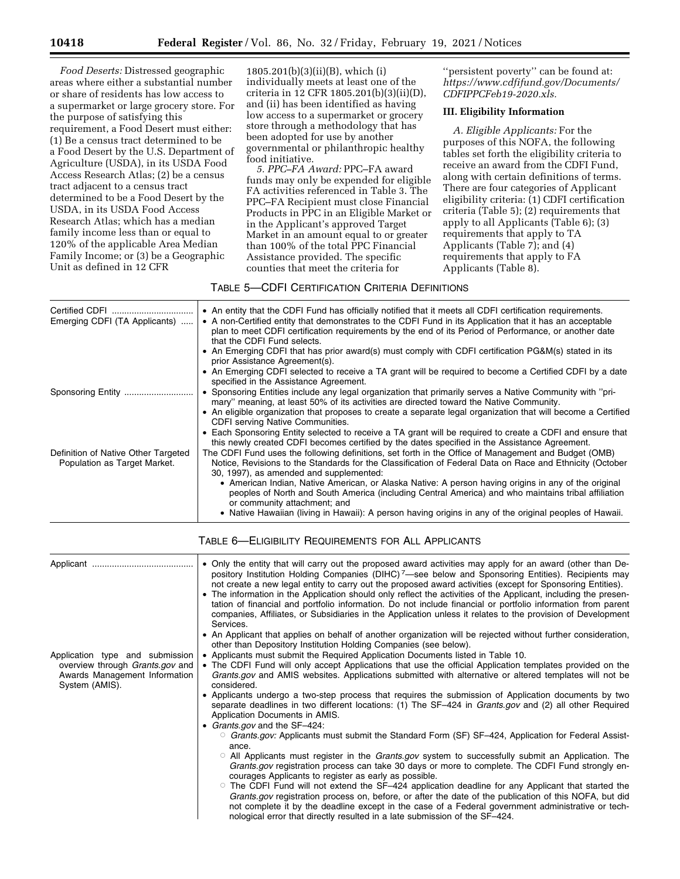*Food Deserts:* Distressed geographic areas where either a substantial number or share of residents has low access to a supermarket or large grocery store. For the purpose of satisfying this requirement, a Food Desert must either: (1) Be a census tract determined to be a Food Desert by the U.S. Department of Agriculture (USDA), in its USDA Food Access Research Atlas; (2) be a census tract adjacent to a census tract determined to be a Food Desert by the USDA, in its USDA Food Access Research Atlas; which has a median family income less than or equal to 120% of the applicable Area Median Family Income; or (3) be a Geographic Unit as defined in 12 CFR

1805.201(b)(3)(ii)(B), which (i) individually meets at least one of the criteria in 12 CFR 1805.201(b)(3)(ii)(D), and (ii) has been identified as having low access to a supermarket or grocery store through a methodology that has been adopted for use by another governmental or philanthropic healthy food initiative.

*5. PPC–FA Award:* PPC–FA award funds may only be expended for eligible FA activities referenced in Table 3. The PPC–FA Recipient must close Financial Products in PPC in an Eligible Market or in the Applicant's approved Target Market in an amount equal to or greater than 100% of the total PPC Financial Assistance provided. The specific counties that meet the criteria for

''persistent poverty'' can be found at: *[https://www.cdfifund.gov/Documents/](https://www.cdfifund.gov/Documents/CDFIPPCFeb19-2020.xls) [CDFIPPCFeb19-2020.xls.](https://www.cdfifund.gov/Documents/CDFIPPCFeb19-2020.xls)* 

### **III. Eligibility Information**

*A. Eligible Applicants:* For the purposes of this NOFA, the following tables set forth the eligibility criteria to receive an award from the CDFI Fund, along with certain definitions of terms. There are four categories of Applicant eligibility criteria: (1) CDFI certification criteria (Table 5); (2) requirements that apply to all Applicants (Table 6); (3) requirements that apply to TA Applicants (Table 7); and (4) requirements that apply to FA Applicants (Table 8).

# TABLE 5—CDFI CERTIFICATION CRITERIA DEFINITIONS

| • An entity that the CDFI Fund has officially notified that it meets all CDFI certification requirements.                                                                                                                                                   |
|-------------------------------------------------------------------------------------------------------------------------------------------------------------------------------------------------------------------------------------------------------------|
| • A non-Certified entity that demonstrates to the CDFI Fund in its Application that it has an acceptable<br>plan to meet CDFI certification requirements by the end of its Period of Performance, or another date<br>that the CDFI Fund selects.            |
| • An Emerging CDFI that has prior award(s) must comply with CDFI certification PG&M(s) stated in its<br>prior Assistance Agreement(s).                                                                                                                      |
| • An Emerging CDFI selected to receive a TA grant will be required to become a Certified CDFI by a date<br>specified in the Assistance Agreement.                                                                                                           |
| • Sponsoring Entities include any legal organization that primarily serves a Native Community with "pri-<br>mary" meaning, at least 50% of its activities are directed toward the Native Community.                                                         |
| • An eligible organization that proposes to create a separate legal organization that will become a Certified<br><b>CDFI</b> serving Native Communities.                                                                                                    |
| • Each Sponsoring Entity selected to receive a TA grant will be required to create a CDFI and ensure that<br>this newly created CDFI becomes certified by the dates specified in the Assistance Agreement.                                                  |
| The CDFI Fund uses the following definitions, set forth in the Office of Management and Budget (OMB)<br>Notice, Revisions to the Standards for the Classification of Federal Data on Race and Ethnicity (October<br>30, 1997), as amended and supplemented: |
| • American Indian, Native American, or Alaska Native: A person having origins in any of the original<br>peoples of North and South America (including Central America) and who maintains tribal affiliation<br>or community attachment; and                 |
| • Native Hawaiian (living in Hawaii): A person having origins in any of the original peoples of Hawaii.                                                                                                                                                     |
|                                                                                                                                                                                                                                                             |

|                                                                                           | • Only the entity that will carry out the proposed award activities may apply for an award (other than De-<br>pository Institution Holding Companies (DIHC) <sup>7</sup> —see below and Sponsoring Entities). Recipients may<br>not create a new legal entity to carry out the proposed award activities (except for Sponsoring Entities).<br>• The information in the Application should only reflect the activities of the Applicant, including the presen-<br>tation of financial and portfolio information. Do not include financial or portfolio information from parent<br>companies, Affiliates, or Subsidiaries in the Application unless it relates to the provision of Development<br>Services. |
|-------------------------------------------------------------------------------------------|-----------------------------------------------------------------------------------------------------------------------------------------------------------------------------------------------------------------------------------------------------------------------------------------------------------------------------------------------------------------------------------------------------------------------------------------------------------------------------------------------------------------------------------------------------------------------------------------------------------------------------------------------------------------------------------------------------------|
|                                                                                           | • An Applicant that applies on behalf of another organization will be rejected without further consideration,<br>other than Depository Institution Holding Companies (see below).                                                                                                                                                                                                                                                                                                                                                                                                                                                                                                                         |
| Application type and submission                                                           | • Applicants must submit the Required Application Documents listed in Table 10.                                                                                                                                                                                                                                                                                                                                                                                                                                                                                                                                                                                                                           |
| overview through <i>Grants.gov</i> and<br>Awards Management Information<br>System (AMIS). | • The CDFI Fund will only accept Applications that use the official Application templates provided on the<br>Grants.gov and AMIS websites. Applications submitted with alternative or altered templates will not be<br>considered.                                                                                                                                                                                                                                                                                                                                                                                                                                                                        |
|                                                                                           | • Applicants undergo a two-step process that requires the submission of Application documents by two<br>separate deadlines in two different locations: (1) The SF-424 in <i>Grants.gov</i> and (2) all other Required<br>Application Documents in AMIS.                                                                                                                                                                                                                                                                                                                                                                                                                                                   |
|                                                                                           | • Grants.gov and the SF-424:                                                                                                                                                                                                                                                                                                                                                                                                                                                                                                                                                                                                                                                                              |
|                                                                                           | ○ Grants.gov: Applicants must submit the Standard Form (SF) SF-424, Application for Federal Assist-<br>ance.                                                                                                                                                                                                                                                                                                                                                                                                                                                                                                                                                                                              |
|                                                                                           | $\circ$ All Applicants must register in the <i>Grants.gov</i> system to successfully submit an Application. The<br>Grants.gov registration process can take 30 days or more to complete. The CDFI Fund strongly en-<br>courages Applicants to register as early as possible.                                                                                                                                                                                                                                                                                                                                                                                                                              |
|                                                                                           | $\circ$ The CDFI Fund will not extend the SF-424 application deadline for any Applicant that started the<br>Grants.gov registration process on, before, or after the date of the publication of this NOFA, but did<br>not complete it by the deadline except in the case of a Federal government administrative or tech-<br>nological error that directly resulted in a late submission of the SF-424.                                                                                                                                                                                                                                                                                                    |

#### TABLE 6—ELIGIBILITY REQUIREMENTS FOR ALL APPLICANTS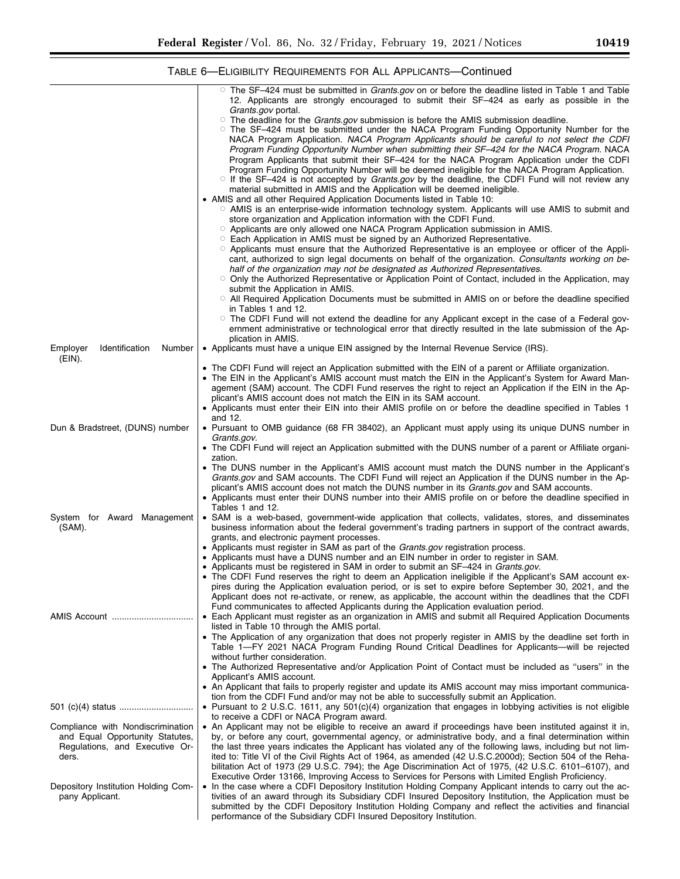۰

TABLE 6—ELIGIBILITY REQUIREMENTS FOR ALL APPLICANTS—Continued

|                                      | $\circ$ The SF-424 must be submitted in <i>Grants.gov</i> on or before the deadline listed in Table 1 and Table<br>12. Applicants are strongly encouraged to submit their SF-424 as early as possible in the |
|--------------------------------------|--------------------------------------------------------------------------------------------------------------------------------------------------------------------------------------------------------------|
|                                      | Grants.gov portal.<br>$\circ$ The deadline for the <i>Grants.gov</i> submission is before the AMIS submission deadline.                                                                                      |
|                                      | $\circ$ The SF-424 must be submitted under the NACA Program Funding Opportunity Number for the                                                                                                               |
|                                      |                                                                                                                                                                                                              |
|                                      | NACA Program Application. NACA Program Applicants should be careful to not select the CDFI                                                                                                                   |
|                                      | Program Funding Opportunity Number when submitting their SF-424 for the NACA Program. NACA                                                                                                                   |
|                                      | Program Applicants that submit their SF-424 for the NACA Program Application under the CDFI                                                                                                                  |
|                                      | Program Funding Opportunity Number will be deemed ineligible for the NACA Program Application.                                                                                                               |
|                                      | $\circ$ If the SF-424 is not accepted by <i>Grants.gov</i> by the deadline, the CDFI Fund will not review any                                                                                                |
|                                      | material submitted in AMIS and the Application will be deemed ineligible.                                                                                                                                    |
|                                      | • AMIS and all other Required Application Documents listed in Table 10:                                                                                                                                      |
|                                      | ○ AMIS is an enterprise-wide information technology system. Applicants will use AMIS to submit and                                                                                                           |
|                                      | store organization and Application information with the CDFI Fund.                                                                                                                                           |
|                                      | ○ Applicants are only allowed one NACA Program Application submission in AMIS.                                                                                                                               |
|                                      | ○ Each Application in AMIS must be signed by an Authorized Representative.                                                                                                                                   |
|                                      | O Applicants must ensure that the Authorized Representative is an employee or officer of the Appli-                                                                                                          |
|                                      | cant, authorized to sign legal documents on behalf of the organization. Consultants working on be-                                                                                                           |
|                                      | half of the organization may not be designated as Authorized Representatives.                                                                                                                                |
|                                      | $\circ$ Only the Authorized Representative or Application Point of Contact, included in the Application, may                                                                                                 |
|                                      | submit the Application in AMIS.                                                                                                                                                                              |
|                                      | O All Required Application Documents must be submitted in AMIS on or before the deadline specified                                                                                                           |
|                                      | in Tables 1 and 12.                                                                                                                                                                                          |
|                                      | $\circ$ The CDFI Fund will not extend the deadline for any Applicant except in the case of a Federal gov-                                                                                                    |
|                                      | ernment administrative or technological error that directly resulted in the late submission of the Ap-                                                                                                       |
|                                      | plication in AMIS.                                                                                                                                                                                           |
| Employer<br>Identification<br>Number | • Applicants must have a unique EIN assigned by the Internal Revenue Service (IRS).                                                                                                                          |
| (EIN).                               |                                                                                                                                                                                                              |
|                                      | • The CDFI Fund will reject an Application submitted with the EIN of a parent or Affiliate organization.                                                                                                     |
|                                      | • The EIN in the Applicant's AMIS account must match the EIN in the Applicant's System for Award Man-                                                                                                        |
|                                      | agement (SAM) account. The CDFI Fund reserves the right to reject an Application if the EIN in the Ap-                                                                                                       |
|                                      | plicant's AMIS account does not match the EIN in its SAM account.                                                                                                                                            |
|                                      | • Applicants must enter their EIN into their AMIS profile on or before the deadline specified in Tables 1                                                                                                    |
|                                      | and 12.                                                                                                                                                                                                      |
| Dun & Bradstreet, (DUNS) number      | • Pursuant to OMB guidance (68 FR 38402), an Applicant must apply using its unique DUNS number in                                                                                                            |
|                                      | Grants.gov.                                                                                                                                                                                                  |
|                                      | • The CDFI Fund will reject an Application submitted with the DUNS number of a parent or Affiliate organi-                                                                                                   |
|                                      | zation.                                                                                                                                                                                                      |
|                                      | • The DUNS number in the Applicant's AMIS account must match the DUNS number in the Applicant's                                                                                                              |
|                                      | Grants.gov and SAM accounts. The CDFI Fund will reject an Application if the DUNS number in the Ap-                                                                                                          |
|                                      | plicant's AMIS account does not match the DUNS number in its Grants.gov and SAM accounts.                                                                                                                    |
|                                      | • Applicants must enter their DUNS number into their AMIS profile on or before the deadline specified in                                                                                                     |
|                                      | Tables 1 and 12.                                                                                                                                                                                             |
| System for Award Management          | • SAM is a web-based, government-wide application that collects, validates, stores, and disseminates                                                                                                         |
| (SAM).                               | business information about the federal government's trading partners in support of the contract awards,                                                                                                      |
|                                      | grants, and electronic payment processes.                                                                                                                                                                    |
|                                      | • Applicants must register in SAM as part of the <i>Grants.gov</i> registration process.                                                                                                                     |
|                                      | • Applicants must have a DUNS number and an EIN number in order to register in SAM.                                                                                                                          |
|                                      | • Applicants must be registered in SAM in order to submit an SF-424 in <i>Grants.gov</i> .                                                                                                                   |
|                                      | • The CDFI Fund reserves the right to deem an Application ineligible if the Applicant's SAM account ex-                                                                                                      |
|                                      | pires during the Application evaluation period, or is set to expire before September 30, 2021, and the                                                                                                       |
|                                      | Applicant does not re-activate, or renew, as applicable, the account within the deadlines that the CDFI                                                                                                      |
|                                      | Fund communicates to affected Applicants during the Application evaluation period.                                                                                                                           |
| AMIS Account                         | • Each Applicant must register as an organization in AMIS and submit all Required Application Documents                                                                                                      |
|                                      | listed in Table 10 through the AMIS portal.                                                                                                                                                                  |
|                                      | • The Application of any organization that does not properly register in AMIS by the deadline set forth in                                                                                                   |
|                                      | Table 1-FY 2021 NACA Program Funding Round Critical Deadlines for Applicants-will be rejected                                                                                                                |
|                                      | without further consideration.                                                                                                                                                                               |
|                                      | • The Authorized Representative and/or Application Point of Contact must be included as "users" in the                                                                                                       |
|                                      | Applicant's AMIS account.                                                                                                                                                                                    |
|                                      | • An Applicant that fails to properly register and update its AMIS account may miss important communica-                                                                                                     |
|                                      | tion from the CDFI Fund and/or may not be able to successfully submit an Application.                                                                                                                        |
| 501 (c)(4) status                    | • Pursuant to 2 U.S.C. 1611, any 501(c)(4) organization that engages in lobbying activities is not eligible                                                                                                  |
|                                      | to receive a CDFI or NACA Program award.                                                                                                                                                                     |
| Compliance with Nondiscrimination    | • An Applicant may not be eligible to receive an award if proceedings have been instituted against it in,                                                                                                    |
| and Equal Opportunity Statutes,      | by, or before any court, governmental agency, or administrative body, and a final determination within                                                                                                       |
| Regulations, and Executive Or-       | the last three years indicates the Applicant has violated any of the following laws, including but not lim-                                                                                                  |
| ders.                                | ited to: Title VI of the Civil Rights Act of 1964, as amended (42 U.S.C.2000d); Section 504 of the Reha-                                                                                                     |
|                                      | bilitation Act of 1973 (29 U.S.C. 794); the Age Discrimination Act of 1975, (42 U.S.C. 6101–6107), and                                                                                                       |
|                                      | Executive Order 13166, Improving Access to Services for Persons with Limited English Proficiency.                                                                                                            |
| Depository Institution Holding Com-  | • In the case where a CDFI Depository Institution Holding Company Applicant intends to carry out the ac-                                                                                                     |
| pany Applicant.                      | tivities of an award through its Subsidiary CDFI Insured Depository Institution, the Application must be                                                                                                     |
|                                      | submitted by the CDFI Depository Institution Holding Company and reflect the activities and financial                                                                                                        |
|                                      | performance of the Subsidiary CDFI Insured Depository Institution.                                                                                                                                           |
|                                      |                                                                                                                                                                                                              |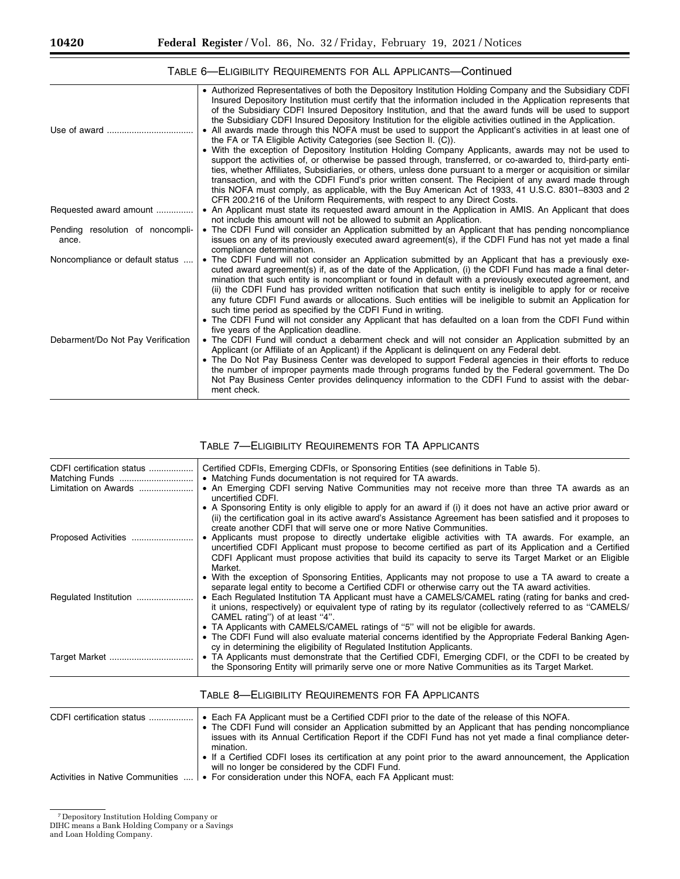|                                           | . Authorized Representatives of both the Depository Institution Holding Company and the Subsidiary CDFI<br>Insured Depository Institution must certify that the information included in the Application represents that<br>of the Subsidiary CDFI Insured Depository Institution, and that the award funds will be used to support<br>the Subsidiary CDFI Insured Depository Institution for the eligible activities outlined in the Application.                                                                                                                                                                                                                                                                                 |
|-------------------------------------------|-----------------------------------------------------------------------------------------------------------------------------------------------------------------------------------------------------------------------------------------------------------------------------------------------------------------------------------------------------------------------------------------------------------------------------------------------------------------------------------------------------------------------------------------------------------------------------------------------------------------------------------------------------------------------------------------------------------------------------------|
|                                           | • All awards made through this NOFA must be used to support the Applicant's activities in at least one of<br>the FA or TA Eligible Activity Categories (see Section II. (C)).                                                                                                                                                                                                                                                                                                                                                                                                                                                                                                                                                     |
|                                           | • With the exception of Depository Institution Holding Company Applicants, awards may not be used to<br>support the activities of, or otherwise be passed through, transferred, or co-awarded to, third-party enti-<br>ties, whether Affiliates, Subsidiaries, or others, unless done pursuant to a merger or acquisition or similar<br>transaction, and with the CDFI Fund's prior written consent. The Recipient of any award made through                                                                                                                                                                                                                                                                                      |
|                                           | this NOFA must comply, as applicable, with the Buy American Act of 1933, 41 U.S.C. 8301–8303 and 2<br>CFR 200.216 of the Uniform Requirements, with respect to any Direct Costs.                                                                                                                                                                                                                                                                                                                                                                                                                                                                                                                                                  |
| Requested award amount                    | • An Applicant must state its requested award amount in the Application in AMIS. An Applicant that does<br>not include this amount will not be allowed to submit an Application.                                                                                                                                                                                                                                                                                                                                                                                                                                                                                                                                                  |
| Pending resolution of noncompli-<br>ance. | • The CDFI Fund will consider an Application submitted by an Applicant that has pending noncompliance<br>issues on any of its previously executed award agreement(s), if the CDFI Fund has not yet made a final<br>compliance determination.                                                                                                                                                                                                                                                                                                                                                                                                                                                                                      |
| Noncompliance or default status           | • The CDFI Fund will not consider an Application submitted by an Applicant that has a previously exe-<br>cuted award agreement(s) if, as of the date of the Application, (i) the CDFI Fund has made a final deter-<br>mination that such entity is noncompliant or found in default with a previously executed agreement, and<br>(ii) the CDFI Fund has provided written notification that such entity is ineligible to apply for or receive<br>any future CDFI Fund awards or allocations. Such entities will be ineligible to submit an Application for<br>such time period as specified by the CDFI Fund in writing.<br>• The CDFI Fund will not consider any Applicant that has defaulted on a loan from the CDFI Fund within |
| Debarment/Do Not Pay Verification         | five years of the Application deadline.<br>• The CDFI Fund will conduct a debarment check and will not consider an Application submitted by an<br>Applicant (or Affiliate of an Applicant) if the Applicant is delinguent on any Federal debt.<br>• The Do Not Pay Business Center was developed to support Federal agencies in their efforts to reduce<br>the number of improper payments made through programs funded by the Federal government. The Do<br>Not Pay Business Center provides delinguency information to the CDFI Fund to assist with the debar-<br>ment check.                                                                                                                                                   |

# TABLE 6—ELIGIBILITY REQUIREMENTS FOR ALL APPLICANTS—Continued

## TABLE 7—ELIGIBILITY REQUIREMENTS FOR TA APPLICANTS

| Certified CDFIs, Emerging CDFIs, or Sponsoring Entities (see definitions in Table 5).<br>• Matching Funds documentation is not required for TA awards.                                                                                                                                                                               |
|--------------------------------------------------------------------------------------------------------------------------------------------------------------------------------------------------------------------------------------------------------------------------------------------------------------------------------------|
| • An Emerging CDFI serving Native Communities may not receive more than three TA awards as an<br>uncertified CDFI.                                                                                                                                                                                                                   |
| • A Sponsoring Entity is only eligible to apply for an award if (i) it does not have an active prior award or<br>(ii) the certification goal in its active award's Assistance Agreement has been satisfied and it proposes to<br>create another CDFI that will serve one or more Native Communities.                                 |
| • Applicants must propose to directly undertake eligible activities with TA awards. For example, an<br>uncertified CDFI Applicant must propose to become certified as part of its Application and a Certified<br>CDFI Applicant must propose activities that build its capacity to serve its Target Market or an Eligible<br>Market. |
| • With the exception of Sponsoring Entities, Applicants may not propose to use a TA award to create a<br>separate legal entity to become a Certified CDFI or otherwise carry out the TA award activities.                                                                                                                            |
| • Each Regulated Institution TA Applicant must have a CAMELS/CAMEL rating (rating for banks and cred-<br>it unions, respectively) or equivalent type of rating by its regulator (collectively referred to as "CAMELS/<br>CAMEL rating") of at least "4".                                                                             |
| • TA Applicants with CAMELS/CAMEL ratings of "5" will not be eligible for awards.<br>• The CDFI Fund will also evaluate material concerns identified by the Appropriate Federal Banking Agen-<br>cy in determining the eligibility of Regulated Institution Applicants.                                                              |
| • TA Applicants must demonstrate that the Certified CDFI, Emerging CDFI, or the CDFI to be created by<br>the Sponsoring Entity will primarily serve one or more Native Communities as its Target Market.                                                                                                                             |
|                                                                                                                                                                                                                                                                                                                                      |

| CDFI certification status        | • Each FA Applicant must be a Certified CDFI prior to the date of the release of this NOFA.<br>• The CDFI Fund will consider an Application submitted by an Applicant that has pending noncompliance<br>issues with its Annual Certification Report if the CDFI Fund has not yet made a final compliance deter- |
|----------------------------------|-----------------------------------------------------------------------------------------------------------------------------------------------------------------------------------------------------------------------------------------------------------------------------------------------------------------|
| Activities in Native Communities | mination.<br>• If a Certified CDFI loses its certification at any point prior to the award announcement, the Application<br>will no longer be considered by the CDFI Fund.<br>• For consideration under this NOFA, each FA Applicant must:                                                                      |

## TABLE 8—ELIGIBILITY REQUIREMENTS FOR FA APPLICANTS

<sup>7</sup> Depository Institution Holding Company or

DIHC means a Bank Holding Company or a Savings

and Loan Holding Company.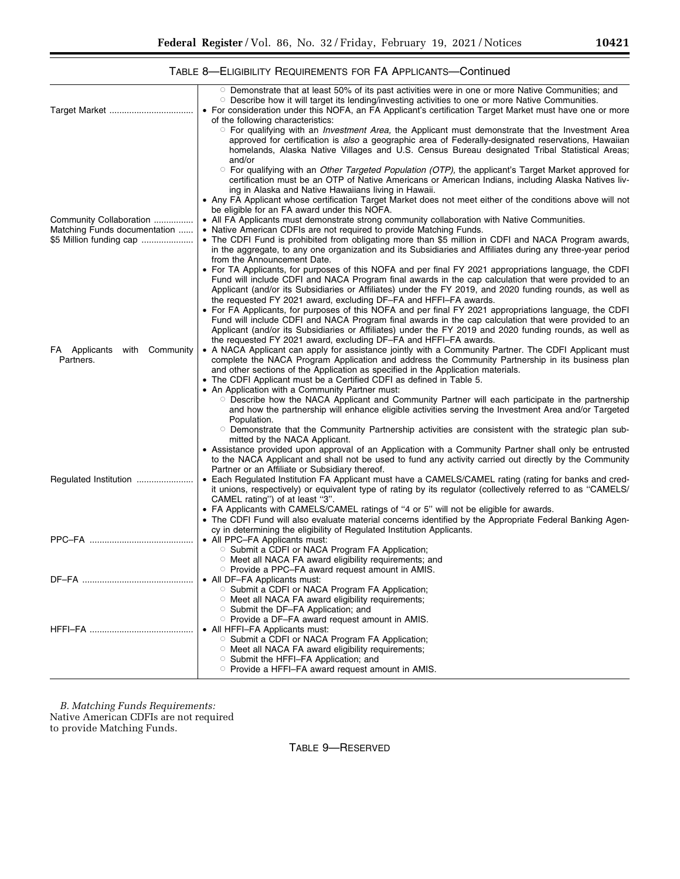۰

|                                 | $\circ$ Demonstrate that at least 50% of its past activities were in one or more Native Communities; and<br>○ Describe how it will target its lending/investing activities to one or more Native Communities.                                                                                                                          |
|---------------------------------|----------------------------------------------------------------------------------------------------------------------------------------------------------------------------------------------------------------------------------------------------------------------------------------------------------------------------------------|
|                                 | • For consideration under this NOFA, an FA Applicant's certification Target Market must have one or more                                                                                                                                                                                                                               |
|                                 | of the following characteristics:                                                                                                                                                                                                                                                                                                      |
|                                 | <sup>O</sup> For qualifying with an <i>Investment Area</i> , the Applicant must demonstrate that the Investment Area<br>approved for certification is also a geographic area of Federally-designated reservations, Hawaiian<br>homelands, Alaska Native Villages and U.S. Census Bureau designated Tribal Statistical Areas;<br>and/or |
|                                 | $\circ$ For qualifying with an <i>Other Targeted Population (OTP)</i> , the applicant's Target Market approved for<br>certification must be an OTP of Native Americans or American Indians, including Alaska Natives liv-<br>ing in Alaska and Native Hawaiians living in Hawaii.                                                      |
|                                 | • Any FA Applicant whose certification Target Market does not meet either of the conditions above will not<br>be eligible for an FA award under this NOFA.                                                                                                                                                                             |
| Community Collaboration         | • All FA Applicants must demonstrate strong community collaboration with Native Communities.                                                                                                                                                                                                                                           |
| Matching Funds documentation    | • Native American CDFIs are not required to provide Matching Funds.                                                                                                                                                                                                                                                                    |
| \$5 Million funding cap         | • The CDFI Fund is prohibited from obligating more than \$5 million in CDFI and NACA Program awards,<br>in the aggregate, to any one organization and its Subsidiaries and Affiliates during any three-year period<br>from the Announcement Date.                                                                                      |
|                                 | • For TA Applicants, for purposes of this NOFA and per final FY 2021 appropriations language, the CDFI                                                                                                                                                                                                                                 |
|                                 | Fund will include CDFI and NACA Program final awards in the cap calculation that were provided to an<br>Applicant (and/or its Subsidiaries or Affiliates) under the FY 2019, and 2020 funding rounds, as well as<br>the requested FY 2021 award, excluding DF-FA and HFFI-FA awards.                                                   |
|                                 | • For FA Applicants, for purposes of this NOFA and per final FY 2021 appropriations language, the CDFI                                                                                                                                                                                                                                 |
|                                 | Fund will include CDFI and NACA Program final awards in the cap calculation that were provided to an<br>Applicant (and/or its Subsidiaries or Affiliates) under the FY 2019 and 2020 funding rounds, as well as<br>the requested FY 2021 award, excluding DF-FA and HFFI-FA awards.                                                    |
| FA Applicants<br>with Community | • A NACA Applicant can apply for assistance jointly with a Community Partner. The CDFI Applicant must                                                                                                                                                                                                                                  |
| Partners.                       | complete the NACA Program Application and address the Community Partnership in its business plan                                                                                                                                                                                                                                       |
|                                 | and other sections of the Application as specified in the Application materials.                                                                                                                                                                                                                                                       |
|                                 | • The CDFI Applicant must be a Certified CDFI as defined in Table 5.                                                                                                                                                                                                                                                                   |
|                                 | • An Application with a Community Partner must:<br>○ Describe how the NACA Applicant and Community Partner will each participate in the partnership                                                                                                                                                                                    |
|                                 | and how the partnership will enhance eligible activities serving the Investment Area and/or Targeted                                                                                                                                                                                                                                   |
|                                 | Population.                                                                                                                                                                                                                                                                                                                            |
|                                 | $\circ$ Demonstrate that the Community Partnership activities are consistent with the strategic plan sub-                                                                                                                                                                                                                              |
|                                 | mitted by the NACA Applicant.<br>• Assistance provided upon approval of an Application with a Community Partner shall only be entrusted                                                                                                                                                                                                |
|                                 | to the NACA Applicant and shall not be used to fund any activity carried out directly by the Community                                                                                                                                                                                                                                 |
|                                 | Partner or an Affiliate or Subsidiary thereof.                                                                                                                                                                                                                                                                                         |
| Regulated Institution           | • Each Regulated Institution FA Applicant must have a CAMELS/CAMEL rating (rating for banks and cred-                                                                                                                                                                                                                                  |
|                                 | it unions, respectively) or equivalent type of rating by its regulator (collectively referred to as "CAMELS/                                                                                                                                                                                                                           |
|                                 | CAMEL rating") of at least "3".<br>• FA Applicants with CAMELS/CAMEL ratings of "4 or 5" will not be eligible for awards.                                                                                                                                                                                                              |
|                                 | • The CDFI Fund will also evaluate material concerns identified by the Appropriate Federal Banking Agen-                                                                                                                                                                                                                               |
|                                 | cy in determining the eligibility of Regulated Institution Applicants.                                                                                                                                                                                                                                                                 |
| PPC-FA                          | • All PPC-FA Applicants must:                                                                                                                                                                                                                                                                                                          |
|                                 | ○ Submit a CDFI or NACA Program FA Application;<br>○ Meet all NACA FA award eligibility requirements; and                                                                                                                                                                                                                              |
|                                 | ○ Provide a PPC–FA award request amount in AMIS.                                                                                                                                                                                                                                                                                       |
|                                 | • All DF-FA Applicants must:                                                                                                                                                                                                                                                                                                           |
|                                 | ○ Submit a CDFI or NACA Program FA Application;                                                                                                                                                                                                                                                                                        |
|                                 | ○ Meet all NACA FA award eligibility requirements;                                                                                                                                                                                                                                                                                     |
|                                 | ○ Submit the DF-FA Application; and                                                                                                                                                                                                                                                                                                    |
|                                 | ○ Provide a DF-FA award request amount in AMIS.<br>• All HFFI-FA Applicants must:                                                                                                                                                                                                                                                      |
|                                 | ○ Submit a CDFI or NACA Program FA Application;                                                                                                                                                                                                                                                                                        |
|                                 | O Meet all NACA FA award eligibility requirements;                                                                                                                                                                                                                                                                                     |
|                                 | ○ Submit the HFFI-FA Application; and                                                                                                                                                                                                                                                                                                  |
|                                 | ○ Provide a HFFI–FA award request amount in AMIS.                                                                                                                                                                                                                                                                                      |

# TABLE 8—ELIGIBILITY REQUIREMENTS FOR FA APPLICANTS—Continued

*B. Matching Funds Requirements:*  Native American CDFIs are not required to provide Matching Funds.

TABLE 9—RESERVED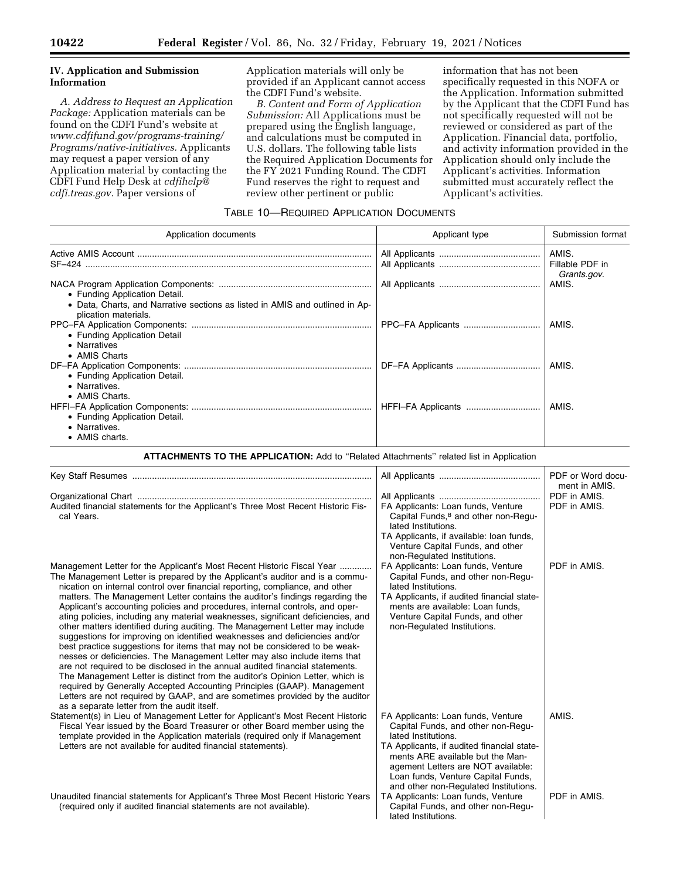## **IV. Application and Submission Information**

*A. Address to Request an Application Package:* Application materials can be found on the CDFI Fund's website at *[www.cdfifund.gov/programs-training/](http://www.cdfifund.gov/programs-training/Programs/native-initiatives)  [Programs/native-initiatives.](http://www.cdfifund.gov/programs-training/Programs/native-initiatives)* Applicants may request a paper version of any Application material by contacting the CDFI Fund Help Desk at *[cdfihelp@](mailto:cdfihelp@cdfi.treas.gov) [cdfi.treas.gov.](mailto:cdfihelp@cdfi.treas.gov)* Paper versions of

Application materials will only be provided if an Applicant cannot access the CDFI Fund's website.

*B. Content and Form of Application Submission:* All Applications must be prepared using the English language, and calculations must be computed in U.S. dollars. The following table lists the Required Application Documents for the FY 2021 Funding Round. The CDFI Fund reserves the right to request and review other pertinent or public

information that has not been specifically requested in this NOFA or the Application. Information submitted by the Applicant that the CDFI Fund has not specifically requested will not be reviewed or considered as part of the Application. Financial data, portfolio, and activity information provided in the Application should only include the Applicant's activities. Information submitted must accurately reflect the Applicant's activities.

## TABLE 10—REQUIRED APPLICATION DOCUMENTS

| Application documents                                                                                | Applicant type | Submission format        |
|------------------------------------------------------------------------------------------------------|----------------|--------------------------|
| SF-424                                                                                               |                | AMIS.<br>Fillable PDF in |
| • Funding Application Detail.                                                                        |                | Grants.gov.<br>AMIS.     |
| • Data, Charts, and Narrative sections as listed in AMIS and outlined in Ap-<br>plication materials. |                |                          |
| • Funding Application Detail<br>• Narratives                                                         |                | AMIS.                    |
| • AMIS Charts                                                                                        |                | AMIS.                    |
| • Funding Application Detail.<br>• Narratives.                                                       |                |                          |
| • AMIS Charts.                                                                                       |                | AMIS.                    |
| • Funding Application Detail.<br>• Narratives.<br>• AMIS charts.                                     |                |                          |

**ATTACHMENTS TO THE APPLICATION:** Add to ''Related Attachments'' related list in Application

|                                                                                                                                                                                                                                                                                                                                                                                                                                                                                                                                                                                                                                                                                                |                                                                                                                                                                                                                                                                                                        | PDF or Word docu-<br>ment in AMIS. |
|------------------------------------------------------------------------------------------------------------------------------------------------------------------------------------------------------------------------------------------------------------------------------------------------------------------------------------------------------------------------------------------------------------------------------------------------------------------------------------------------------------------------------------------------------------------------------------------------------------------------------------------------------------------------------------------------|--------------------------------------------------------------------------------------------------------------------------------------------------------------------------------------------------------------------------------------------------------------------------------------------------------|------------------------------------|
| Audited financial statements for the Applicant's Three Most Recent Historic Fis-<br>cal Years.                                                                                                                                                                                                                                                                                                                                                                                                                                                                                                                                                                                                 | FA Applicants: Loan funds, Venture<br>Capital Funds, <sup>8</sup> and other non-Regu-<br>lated Institutions.<br>TA Applicants, if available: Ioan funds,                                                                                                                                               | PDF in AMIS.<br>PDF in AMIS.       |
| Management Letter for the Applicant's Most Recent Historic Fiscal Year<br>The Management Letter is prepared by the Applicant's auditor and is a commu-<br>nication on internal control over financial reporting, compliance, and other<br>matters. The Management Letter contains the auditor's findings regarding the<br>Applicant's accounting policies and procedures, internal controls, and oper-<br>ating policies, including any material weaknesses, significant deficiencies, and                                                                                                                                                                                                     | Venture Capital Funds, and other<br>non-Regulated Institutions.<br>FA Applicants: Loan funds, Venture<br>Capital Funds, and other non-Regu-<br>lated Institutions.<br>TA Applicants, if audited financial state-<br>ments are available: Loan funds,<br>Venture Capital Funds, and other               | PDF in AMIS.                       |
| other matters identified during auditing. The Management Letter may include<br>suggestions for improving on identified weaknesses and deficiencies and/or<br>best practice suggestions for items that may not be considered to be weak-<br>nesses or deficiencies. The Management Letter may also include items that<br>are not required to be disclosed in the annual audited financial statements.<br>The Management Letter is distinct from the auditor's Opinion Letter, which is<br>required by Generally Accepted Accounting Principles (GAAP). Management<br>Letters are not required by GAAP, and are sometimes provided by the auditor<br>as a separate letter from the audit itself. | non-Regulated Institutions.                                                                                                                                                                                                                                                                            |                                    |
| Statement(s) in Lieu of Management Letter for Applicant's Most Recent Historic<br>Fiscal Year issued by the Board Treasurer or other Board member using the<br>template provided in the Application materials (required only if Management<br>Letters are not available for audited financial statements).                                                                                                                                                                                                                                                                                                                                                                                     | FA Applicants: Loan funds, Venture<br>Capital Funds, and other non-Regu-<br>lated Institutions.<br>TA Applicants, if audited financial state-<br>ments ARE available but the Man-<br>agement Letters are NOT available:<br>Loan funds, Venture Capital Funds,<br>and other non-Regulated Institutions. | AMIS.                              |
| Unaudited financial statements for Applicant's Three Most Recent Historic Years<br>(required only if audited financial statements are not available).                                                                                                                                                                                                                                                                                                                                                                                                                                                                                                                                          | TA Applicants: Loan funds, Venture<br>Capital Funds, and other non-Regu-<br>lated Institutions.                                                                                                                                                                                                        | PDF in AMIS.                       |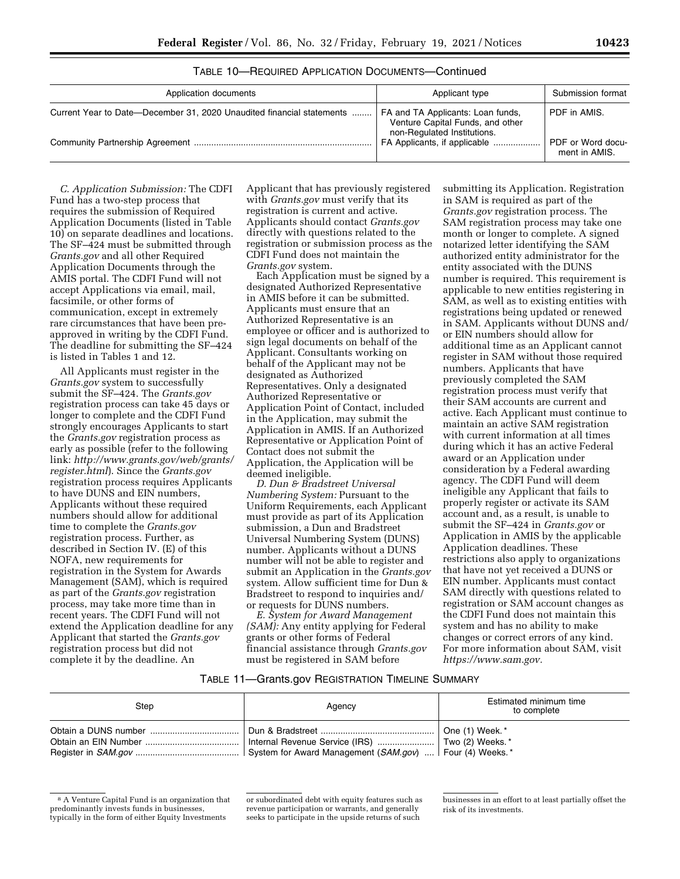| TABLE 10-REQUIRED APPLICATION DOCUMENTS-Continued |  |  |
|---------------------------------------------------|--|--|
|                                                   |  |  |

| Application documents                                                 | Applicant type                                                                                       | Submission format                  |
|-----------------------------------------------------------------------|------------------------------------------------------------------------------------------------------|------------------------------------|
| Current Year to Date—December 31, 2020 Unaudited financial statements | FA and TA Applicants: Loan funds,<br>Venture Capital Funds, and other<br>non-Regulated Institutions. | PDF in AMIS.                       |
|                                                                       | FA Applicants, if applicable                                                                         | PDF or Word docu-<br>ment in AMIS. |

*C. Application Submission:* The CDFI Fund has a two-step process that requires the submission of Required Application Documents (listed in Table 10) on separate deadlines and locations. The SF–424 must be submitted through *Grants.gov* and all other Required Application Documents through the AMIS portal. The CDFI Fund will not accept Applications via email, mail, facsimile, or other forms of communication, except in extremely rare circumstances that have been preapproved in writing by the CDFI Fund. The deadline for submitting the SF–424 is listed in Tables 1 and 12.

All Applicants must register in the *Grants.gov* system to successfully submit the SF–424. The *Grants.gov*  registration process can take 45 days or longer to complete and the CDFI Fund strongly encourages Applicants to start the *Grants.gov* registration process as early as possible (refer to the following link: *[http://www.grants.gov/web/grants/](http://www.grants.gov/web/grants/register.html) [register.html](http://www.grants.gov/web/grants/register.html)*). Since the *Grants.gov*  registration process requires Applicants to have DUNS and EIN numbers, Applicants without these required numbers should allow for additional time to complete the *Grants.gov*  registration process. Further, as described in Section IV. (E) of this NOFA, new requirements for registration in the System for Awards Management (SAM), which is required as part of the *Grants.gov* registration process, may take more time than in recent years. The CDFI Fund will not extend the Application deadline for any Applicant that started the *Grants.gov*  registration process but did not complete it by the deadline. An

Applicant that has previously registered with *Grants.gov* must verify that its registration is current and active. Applicants should contact *Grants.gov*  directly with questions related to the registration or submission process as the CDFI Fund does not maintain the *Grants.gov* system.

Each Application must be signed by a designated Authorized Representative in AMIS before it can be submitted. Applicants must ensure that an Authorized Representative is an employee or officer and is authorized to sign legal documents on behalf of the Applicant. Consultants working on behalf of the Applicant may not be designated as Authorized Representatives. Only a designated Authorized Representative or Application Point of Contact, included in the Application, may submit the Application in AMIS. If an Authorized Representative or Application Point of Contact does not submit the Application, the Application will be deemed ineligible.

*D. Dun & Bradstreet Universal Numbering System:* Pursuant to the Uniform Requirements, each Applicant must provide as part of its Application submission, a Dun and Bradstreet Universal Numbering System (DUNS) number. Applicants without a DUNS number will not be able to register and submit an Application in the *Grants.gov*  system. Allow sufficient time for Dun & Bradstreet to respond to inquiries and/ or requests for DUNS numbers.

*E. System for Award Management (SAM):* Any entity applying for Federal grants or other forms of Federal financial assistance through *Grants.gov*  must be registered in SAM before

submitting its Application. Registration in SAM is required as part of the *Grants.gov* registration process. The SAM registration process may take one month or longer to complete. A signed notarized letter identifying the SAM authorized entity administrator for the entity associated with the DUNS number is required. This requirement is applicable to new entities registering in SAM, as well as to existing entities with registrations being updated or renewed in SAM. Applicants without DUNS and/ or EIN numbers should allow for additional time as an Applicant cannot register in SAM without those required numbers. Applicants that have previously completed the SAM registration process must verify that their SAM accounts are current and active. Each Applicant must continue to maintain an active SAM registration with current information at all times during which it has an active Federal award or an Application under consideration by a Federal awarding agency. The CDFI Fund will deem ineligible any Applicant that fails to properly register or activate its SAM account and, as a result, is unable to submit the SF–424 in *Grants.gov* or Application in AMIS by the applicable Application deadlines. These restrictions also apply to organizations that have not yet received a DUNS or EIN number. Applicants must contact SAM directly with questions related to registration or SAM account changes as the CDFI Fund does not maintain this system and has no ability to make changes or correct errors of any kind. For more information about SAM, visit *[https://www.sam.gov.](https://www.sam.gov)* 

#### TABLE 11—Grants.gov REGISTRATION TIMELINE SUMMARY

| Step                 | Agency                                                                                      | Estimated minimum time<br>to complete        |
|----------------------|---------------------------------------------------------------------------------------------|----------------------------------------------|
| Obtain an EIN Number | Internal Revenue Service (IRS)<br>System for Award Management (SAM.gov)    Four (4) Weeks.* | One (1) Week.*<br>$\vert$ Two (2) Weeks. $*$ |

<sup>8</sup> A Venture Capital Fund is an organization that predominantly invests funds in businesses, typically in the form of either Equity Investments

or subordinated debt with equity features such as revenue participation or warrants, and generally seeks to participate in the upside returns of such

businesses in an effort to at least partially offset the risk of its investments.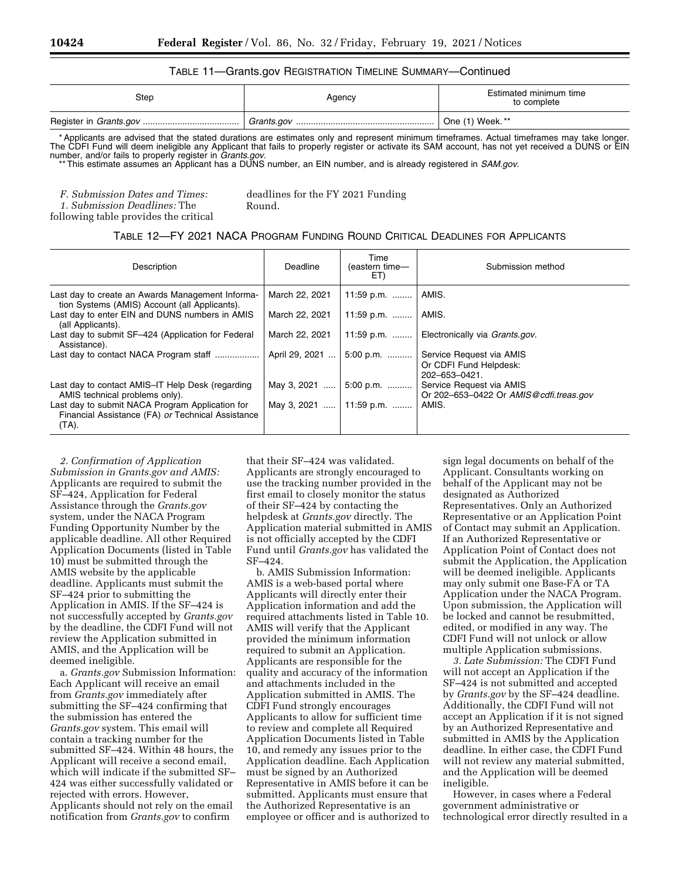### TABLE 11—Grants.gov REGISTRATION TIMELINE SUMMARY—Continued

| Step | Agency | Estimated minimum time<br>to complete |
|------|--------|---------------------------------------|
|      |        | One (1) Week. **                      |

\* Applicants are advised that the stated durations are estimates only and represent minimum timeframes. Actual timeframes may take longer. The CDFI Fund will deem ineligible any Applicant that fails to properly register or activate its SAM account, has not yet received a DUNS or EIN number, and/or fails to properly register in *Grants.gov*.

\*\* This estimate assumes an Applicant has a DUNS number, an EIN number, and is already registered in *SAM.gov*.

*F. Submission Dates and Times:* 

*1. Submission Deadlines:* The following table provides the critical deadlines for the FY 2021 Funding Round.

#### TABLE 12—FY 2021 NACA PROGRAM FUNDING ROUND CRITICAL DEADLINES FOR APPLICANTS

| Description                                                                                                   | Deadline       | Time<br>(eastern time-<br>ET) | Submission method                                                   |
|---------------------------------------------------------------------------------------------------------------|----------------|-------------------------------|---------------------------------------------------------------------|
| Last day to create an Awards Management Informa-<br>tion Systems (AMIS) Account (all Applicants).             | March 22, 2021 | 11:59 p.m.    AMIS.           |                                                                     |
| Last day to enter EIN and DUNS numbers in AMIS<br>(all Applicants).                                           | March 22, 2021 | 11:59 p.m.                    | AMIS.                                                               |
| Last day to submit SF-424 (Application for Federal<br>Assistance).                                            | March 22, 2021 |                               | 11:59 p.m.    Electronically via <i>Grants.gov.</i>                 |
| Last day to contact NACA Program staff                                                                        | April 29, 2021 | 5:00 p.m.                     | Service Request via AMIS<br>Or CDFI Fund Helpdesk:<br>202-653-0421. |
| Last day to contact AMIS-IT Help Desk (regarding<br>AMIS technical problems only).                            |                | May 3, 2021  5:00 p.m.        | Service Request via AMIS<br>Or 202-653-0422 Or AMIS@cdfi.treas.gov  |
| Last day to submit NACA Program Application for<br>Financial Assistance (FA) or Technical Assistance<br>(TA). |                | May 3, 2021    11:59 p.m.     | AMIS.                                                               |

*2. Confirmation of Application Submission in Grants.gov and AMIS:*  Applicants are required to submit the SF–424, Application for Federal Assistance through the *Grants.gov*  system, under the NACA Program Funding Opportunity Number by the applicable deadline. All other Required Application Documents (listed in Table 10) must be submitted through the AMIS website by the applicable deadline. Applicants must submit the SF–424 prior to submitting the Application in AMIS. If the SF–424 is not successfully accepted by *Grants.gov*  by the deadline, the CDFI Fund will not review the Application submitted in AMIS, and the Application will be deemed ineligible.

a. *Grants.gov* Submission Information: Each Applicant will receive an email from *Grants.gov* immediately after submitting the SF–424 confirming that the submission has entered the *Grants.gov* system. This email will contain a tracking number for the submitted SF–424. Within 48 hours, the Applicant will receive a second email, which will indicate if the submitted SF– 424 was either successfully validated or rejected with errors. However, Applicants should not rely on the email notification from *Grants.gov* to confirm

that their SF–424 was validated. Applicants are strongly encouraged to use the tracking number provided in the first email to closely monitor the status of their SF–424 by contacting the helpdesk at *Grants.gov* directly. The Application material submitted in AMIS is not officially accepted by the CDFI Fund until *Grants.gov* has validated the SF–424.

b. AMIS Submission Information: AMIS is a web-based portal where Applicants will directly enter their Application information and add the required attachments listed in Table 10. AMIS will verify that the Applicant provided the minimum information required to submit an Application. Applicants are responsible for the quality and accuracy of the information and attachments included in the Application submitted in AMIS. The CDFI Fund strongly encourages Applicants to allow for sufficient time to review and complete all Required Application Documents listed in Table 10, and remedy any issues prior to the Application deadline. Each Application must be signed by an Authorized Representative in AMIS before it can be submitted. Applicants must ensure that the Authorized Representative is an employee or officer and is authorized to

sign legal documents on behalf of the Applicant. Consultants working on behalf of the Applicant may not be designated as Authorized Representatives. Only an Authorized Representative or an Application Point of Contact may submit an Application. If an Authorized Representative or Application Point of Contact does not submit the Application, the Application will be deemed ineligible. Applicants may only submit one Base-FA or TA Application under the NACA Program. Upon submission, the Application will be locked and cannot be resubmitted, edited, or modified in any way. The CDFI Fund will not unlock or allow multiple Application submissions.

*3. Late Submission:* The CDFI Fund will not accept an Application if the SF–424 is not submitted and accepted by *Grants.gov* by the SF–424 deadline. Additionally, the CDFI Fund will not accept an Application if it is not signed by an Authorized Representative and submitted in AMIS by the Application deadline. In either case, the CDFI Fund will not review any material submitted, and the Application will be deemed ineligible.

However, in cases where a Federal government administrative or technological error directly resulted in a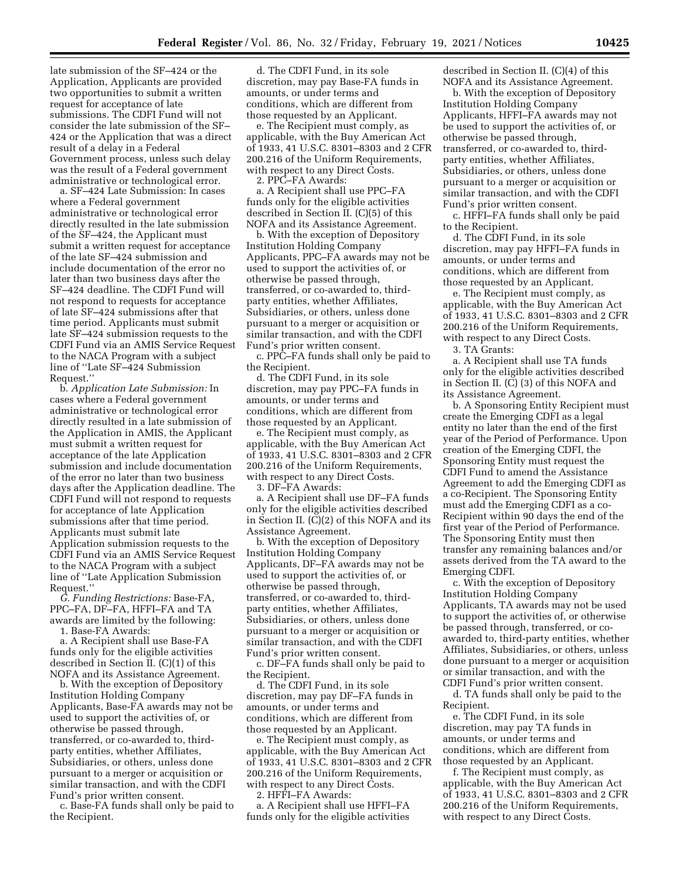late submission of the SF–424 or the Application, Applicants are provided two opportunities to submit a written request for acceptance of late submissions. The CDFI Fund will not consider the late submission of the SF– 424 or the Application that was a direct result of a delay in a Federal Government process, unless such delay was the result of a Federal government administrative or technological error.

a. SF–424 Late Submission: In cases where a Federal government administrative or technological error directly resulted in the late submission of the SF–424, the Applicant must submit a written request for acceptance of the late SF–424 submission and include documentation of the error no later than two business days after the SF–424 deadline. The CDFI Fund will not respond to requests for acceptance of late SF–424 submissions after that time period. Applicants must submit late SF–424 submission requests to the CDFI Fund via an AMIS Service Request to the NACA Program with a subject line of ''Late SF–424 Submission Request.''

b. *Application Late Submission:* In cases where a Federal government administrative or technological error directly resulted in a late submission of the Application in AMIS, the Applicant must submit a written request for acceptance of the late Application submission and include documentation of the error no later than two business days after the Application deadline. The CDFI Fund will not respond to requests for acceptance of late Application submissions after that time period. Applicants must submit late Application submission requests to the CDFI Fund via an AMIS Service Request to the NACA Program with a subject line of ''Late Application Submission Request.''

*G. Funding Restrictions:* Base-FA, PPC–FA, DF–FA, HFFI–FA and TA awards are limited by the following: 1. Base-FA Awards:

a. A Recipient shall use Base-FA funds only for the eligible activities described in Section II. (C)(1) of this NOFA and its Assistance Agreement.

b. With the exception of Depository Institution Holding Company Applicants, Base-FA awards may not be used to support the activities of, or otherwise be passed through, transferred, or co-awarded to, thirdparty entities, whether Affiliates, Subsidiaries, or others, unless done pursuant to a merger or acquisition or similar transaction, and with the CDFI Fund's prior written consent.

c. Base-FA funds shall only be paid to the Recipient.

d. The CDFI Fund, in its sole discretion, may pay Base-FA funds in amounts, or under terms and conditions, which are different from those requested by an Applicant.

e. The Recipient must comply, as applicable, with the Buy American Act of 1933, 41 U.S.C. 8301–8303 and 2 CFR 200.216 of the Uniform Requirements, with respect to any Direct Costs.

2. PPC–FA Awards:

a. A Recipient shall use PPC–FA funds only for the eligible activities described in Section II. (C)(5) of this NOFA and its Assistance Agreement.

b. With the exception of Depository Institution Holding Company Applicants, PPC–FA awards may not be used to support the activities of, or otherwise be passed through, transferred, or co-awarded to, thirdparty entities, whether Affiliates, Subsidiaries, or others, unless done pursuant to a merger or acquisition or similar transaction, and with the CDFI Fund's prior written consent.

c. PPC–FA funds shall only be paid to the Recipient.

d. The CDFI Fund, in its sole discretion, may pay PPC–FA funds in amounts, or under terms and conditions, which are different from those requested by an Applicant.

e. The Recipient must comply, as applicable, with the Buy American Act of 1933, 41 U.S.C. 8301–8303 and 2 CFR 200.216 of the Uniform Requirements, with respect to any Direct Costs.

3. DF–FA Awards:

a. A Recipient shall use DF–FA funds only for the eligible activities described in Section II. (C)(2) of this NOFA and its Assistance Agreement.

b. With the exception of Depository Institution Holding Company Applicants, DF–FA awards may not be used to support the activities of, or otherwise be passed through, transferred, or co-awarded to, thirdparty entities, whether Affiliates, Subsidiaries, or others, unless done pursuant to a merger or acquisition or similar transaction, and with the CDFI Fund's prior written consent.

c. DF–FA funds shall only be paid to the Recipient.

d. The CDFI Fund, in its sole discretion, may pay DF–FA funds in amounts, or under terms and conditions, which are different from those requested by an Applicant.

e. The Recipient must comply, as applicable, with the Buy American Act of 1933, 41 U.S.C. 8301–8303 and 2 CFR 200.216 of the Uniform Requirements, with respect to any Direct Costs.

2. HFFI–FA Awards:

a. A Recipient shall use HFFI–FA funds only for the eligible activities

described in Section II. (C)(4) of this NOFA and its Assistance Agreement.

b. With the exception of Depository Institution Holding Company Applicants, HFFI–FA awards may not be used to support the activities of, or otherwise be passed through, transferred, or co-awarded to, thirdparty entities, whether Affiliates, Subsidiaries, or others, unless done pursuant to a merger or acquisition or similar transaction, and with the CDFI Fund's prior written consent.

c. HFFI–FA funds shall only be paid to the Recipient.

d. The CDFI Fund, in its sole discretion, may pay HFFI–FA funds in amounts, or under terms and conditions, which are different from those requested by an Applicant.

e. The Recipient must comply, as applicable, with the Buy American Act of 1933, 41 U.S.C. 8301–8303 and 2 CFR 200.216 of the Uniform Requirements, with respect to any Direct Costs.

3. TA Grants:

a. A Recipient shall use TA funds only for the eligible activities described in Section II. (C) (3) of this NOFA and its Assistance Agreement.

b. A Sponsoring Entity Recipient must create the Emerging CDFI as a legal entity no later than the end of the first year of the Period of Performance. Upon creation of the Emerging CDFI, the Sponsoring Entity must request the CDFI Fund to amend the Assistance Agreement to add the Emerging CDFI as a co-Recipient. The Sponsoring Entity must add the Emerging CDFI as a co-Recipient within 90 days the end of the first year of the Period of Performance. The Sponsoring Entity must then transfer any remaining balances and/or assets derived from the TA award to the Emerging CDFI.

c. With the exception of Depository Institution Holding Company Applicants, TA awards may not be used to support the activities of, or otherwise be passed through, transferred, or coawarded to, third-party entities, whether Affiliates, Subsidiaries, or others, unless done pursuant to a merger or acquisition or similar transaction, and with the CDFI Fund's prior written consent.

d. TA funds shall only be paid to the Recipient.

e. The CDFI Fund, in its sole discretion, may pay TA funds in amounts, or under terms and conditions, which are different from those requested by an Applicant.

f. The Recipient must comply, as applicable, with the Buy American Act of 1933, 41 U.S.C. 8301–8303 and 2 CFR 200.216 of the Uniform Requirements, with respect to any Direct Costs.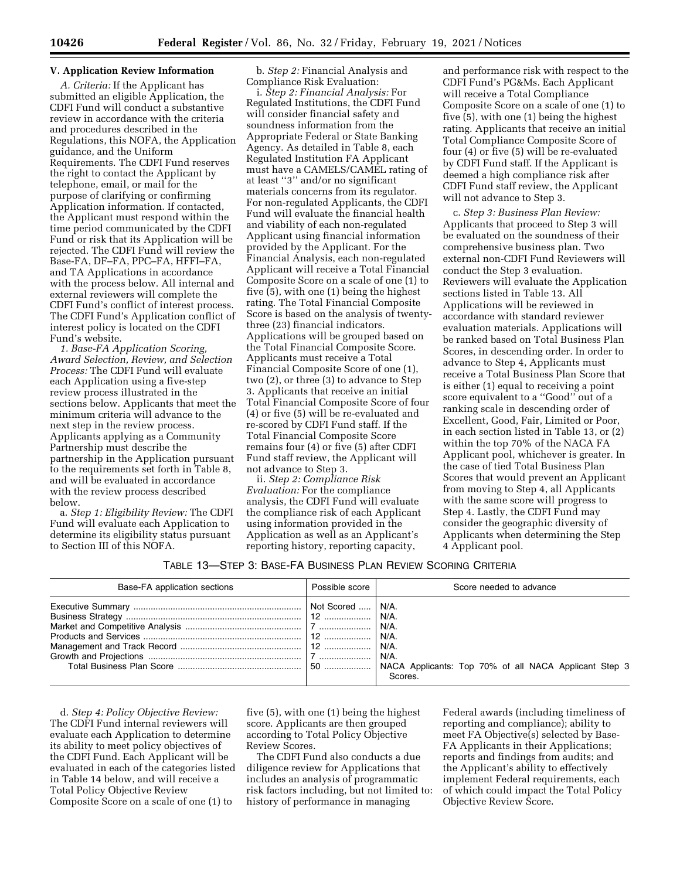## **V. Application Review Information**

*A. Criteria:* If the Applicant has submitted an eligible Application, the CDFI Fund will conduct a substantive review in accordance with the criteria and procedures described in the Regulations, this NOFA, the Application guidance, and the Uniform Requirements. The CDFI Fund reserves the right to contact the Applicant by telephone, email, or mail for the purpose of clarifying or confirming Application information. If contacted, the Applicant must respond within the time period communicated by the CDFI Fund or risk that its Application will be rejected. The CDFI Fund will review the Base-FA, DF–FA, PPC–FA, HFFI–FA, and TA Applications in accordance with the process below. All internal and external reviewers will complete the CDFI Fund's conflict of interest process. The CDFI Fund's Application conflict of interest policy is located on the CDFI Fund's website.

*1. Base-FA Application Scoring, Award Selection, Review, and Selection Process:* The CDFI Fund will evaluate each Application using a five-step review process illustrated in the sections below. Applicants that meet the minimum criteria will advance to the next step in the review process. Applicants applying as a Community Partnership must describe the partnership in the Application pursuant to the requirements set forth in Table 8, and will be evaluated in accordance with the review process described below.

a. *Step 1: Eligibility Review:* The CDFI Fund will evaluate each Application to determine its eligibility status pursuant to Section III of this NOFA.

b. *Step 2:* Financial Analysis and Compliance Risk Evaluation:

i. *Step 2: Financial Analysis:* For Regulated Institutions, the CDFI Fund will consider financial safety and soundness information from the Appropriate Federal or State Banking Agency. As detailed in Table 8, each Regulated Institution FA Applicant must have a CAMELS/CAMEL rating of at least ''3'' and/or no significant materials concerns from its regulator. For non-regulated Applicants, the CDFI Fund will evaluate the financial health and viability of each non-regulated Applicant using financial information provided by the Applicant. For the Financial Analysis, each non-regulated Applicant will receive a Total Financial Composite Score on a scale of one (1) to five (5), with one (1) being the highest rating. The Total Financial Composite Score is based on the analysis of twentythree (23) financial indicators. Applications will be grouped based on the Total Financial Composite Score. Applicants must receive a Total Financial Composite Score of one (1), two (2), or three (3) to advance to Step 3. Applicants that receive an initial Total Financial Composite Score of four (4) or five (5) will be re-evaluated and re-scored by CDFI Fund staff. If the Total Financial Composite Score remains four (4) or five (5) after CDFI Fund staff review, the Applicant will not advance to Step 3.

ii. *Step 2: Compliance Risk Evaluation:* For the compliance analysis, the CDFI Fund will evaluate the compliance risk of each Applicant using information provided in the Application as well as an Applicant's reporting history, reporting capacity,

and performance risk with respect to the CDFI Fund's PG&Ms. Each Applicant will receive a Total Compliance Composite Score on a scale of one (1) to five (5), with one (1) being the highest rating. Applicants that receive an initial Total Compliance Composite Score of four (4) or five (5) will be re-evaluated by CDFI Fund staff. If the Applicant is deemed a high compliance risk after CDFI Fund staff review, the Applicant will not advance to Step 3.

c. *Step 3: Business Plan Review:*  Applicants that proceed to Step 3 will be evaluated on the soundness of their comprehensive business plan. Two external non-CDFI Fund Reviewers will conduct the Step 3 evaluation. Reviewers will evaluate the Application sections listed in Table 13. All Applications will be reviewed in accordance with standard reviewer evaluation materials. Applications will be ranked based on Total Business Plan Scores, in descending order. In order to advance to Step 4, Applicants must receive a Total Business Plan Score that is either (1) equal to receiving a point score equivalent to a ''Good'' out of a ranking scale in descending order of Excellent, Good, Fair, Limited or Poor, in each section listed in Table 13, or (2) within the top 70% of the NACA FA Applicant pool, whichever is greater. In the case of tied Total Business Plan Scores that would prevent an Applicant from moving to Step 4, all Applicants with the same score will progress to Step 4. Lastly, the CDFI Fund may consider the geographic diversity of Applicants when determining the Step 4 Applicant pool.

#### TABLE 13—STEP 3: BASE-FA BUSINESS PLAN REVIEW SCORING CRITERIA

| Base-FA application sections | Possible score | Score needed to advance |
|------------------------------|----------------|-------------------------|
|                              |                | Scores.                 |

d. *Step 4: Policy Objective Review:*  The CDFI Fund internal reviewers will evaluate each Application to determine its ability to meet policy objectives of the CDFI Fund. Each Applicant will be evaluated in each of the categories listed in Table 14 below, and will receive a Total Policy Objective Review Composite Score on a scale of one (1) to

five (5), with one (1) being the highest score. Applicants are then grouped according to Total Policy Objective Review Scores.

The CDFI Fund also conducts a due diligence review for Applications that includes an analysis of programmatic risk factors including, but not limited to: history of performance in managing

Federal awards (including timeliness of reporting and compliance); ability to meet FA Objective(s) selected by Base-FA Applicants in their Applications; reports and findings from audits; and the Applicant's ability to effectively implement Federal requirements, each of which could impact the Total Policy Objective Review Score.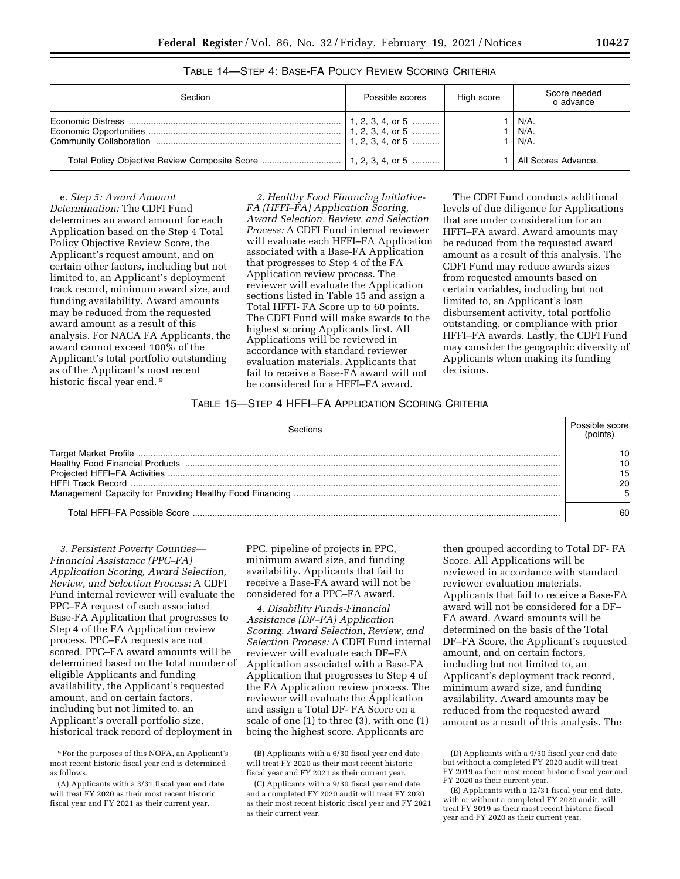| Section | Possible scores  | High score | Score needed<br>o advance |
|---------|------------------|------------|---------------------------|
|         | 1, 2, 3, 4, or 5 |            | N/A.<br>N/A.<br>N/A.      |
|         |                  |            | All Scores Advance.       |

TABLE 14—STEP 4: BASE-FA POLICY REVIEW SCORING CRITERIA

e. *Step 5: Award Amount Determination:* The CDFI Fund determines an award amount for each Application based on the Step 4 Total Policy Objective Review Score, the Applicant's request amount, and on certain other factors, including but not limited to, an Applicant's deployment track record, minimum award size, and funding availability. Award amounts may be reduced from the requested award amount as a result of this analysis. For NACA FA Applicants, the award cannot exceed 100% of the Applicant's total portfolio outstanding as of the Applicant's most recent historic fiscal year end.<sup>9</sup>

*2. Healthy Food Financing Initiative-FA (HFFI–FA) Application Scoring, Award Selection, Review, and Selection Process:* A CDFI Fund internal reviewer will evaluate each HFFI–FA Application associated with a Base-FA Application that progresses to Step 4 of the FA Application review process. The reviewer will evaluate the Application sections listed in Table 15 and assign a Total HFFI- FA Score up to 60 points. The CDFI Fund will make awards to the highest scoring Applicants first. All Applications will be reviewed in accordance with standard reviewer evaluation materials. Applicants that fail to receive a Base-FA award will not be considered for a HFFI–FA award.

The CDFI Fund conducts additional levels of due diligence for Applications that are under consideration for an HFFI–FA award. Award amounts may be reduced from the requested award amount as a result of this analysis. The CDFI Fund may reduce awards sizes from requested amounts based on certain variables, including but not limited to, an Applicant's loan disbursement activity, total portfolio outstanding, or compliance with prior HFFI–FA awards. Lastly, the CDFI Fund may consider the geographic diversity of Applicants when making its funding decisions.

## TABLE 15—STEP 4 HFFI–FA APPLICATION SCORING CRITERIA

| Sections | Possible score |
|----------|----------------|
|          |                |
|          | 15             |
|          |                |
|          |                |

*3. Persistent Poverty Counties— Financial Assistance (PPC–FA) Application Scoring, Award Selection, Review, and Selection Process:* A CDFI Fund internal reviewer will evaluate the PPC–FA request of each associated Base-FA Application that progresses to Step 4 of the FA Application review process. PPC–FA requests are not scored. PPC–FA award amounts will be determined based on the total number of eligible Applicants and funding availability, the Applicant's requested amount, and on certain factors, including but not limited to, an Applicant's overall portfolio size, historical track record of deployment in

PPC, pipeline of projects in PPC, minimum award size, and funding availability. Applicants that fail to receive a Base-FA award will not be considered for a PPC–FA award.

*4. Disability Funds-Financial Assistance (DF–FA) Application Scoring, Award Selection, Review, and Selection Process:* A CDFI Fund internal reviewer will evaluate each DF–FA Application associated with a Base-FA Application that progresses to Step 4 of the FA Application review process. The reviewer will evaluate the Application and assign a Total DF- FA Score on a scale of one (1) to three (3), with one (1) being the highest score. Applicants are

then grouped according to Total DF- FA Score. All Applications will be reviewed in accordance with standard reviewer evaluation materials. Applicants that fail to receive a Base-FA award will not be considered for a DF– FA award. Award amounts will be determined on the basis of the Total DF–FA Score, the Applicant's requested amount, and on certain factors, including but not limited to, an Applicant's deployment track record, minimum award size, and funding availability. Award amounts may be reduced from the requested award amount as a result of this analysis. The

<sup>9</sup>For the purposes of this NOFA, an Applicant's most recent historic fiscal year end is determined as follows.

<sup>(</sup>A) Applicants with a 3/31 fiscal year end date will treat FY 2020 as their most recent historic fiscal year and FY 2021 as their current year.

<sup>(</sup>B) Applicants with a 6/30 fiscal year end date will treat FY 2020 as their most recent historic fiscal year and FY 2021 as their current year.

<sup>(</sup>C) Applicants with a 9/30 fiscal year end date and a completed FY 2020 audit will treat FY 2020 as their most recent historic fiscal year and FY 2021 as their current year.

<sup>(</sup>D) Applicants with a 9/30 fiscal year end date but without a completed FY 2020 audit will treat FY 2019 as their most recent historic fiscal year and FY 2020 as their current year.

<sup>(</sup>E) Applicants with a 12/31 fiscal year end date, with or without a completed FY 2020 audit, will treat FY 2019 as their most recent historic fiscal year and FY 2020 as their current year.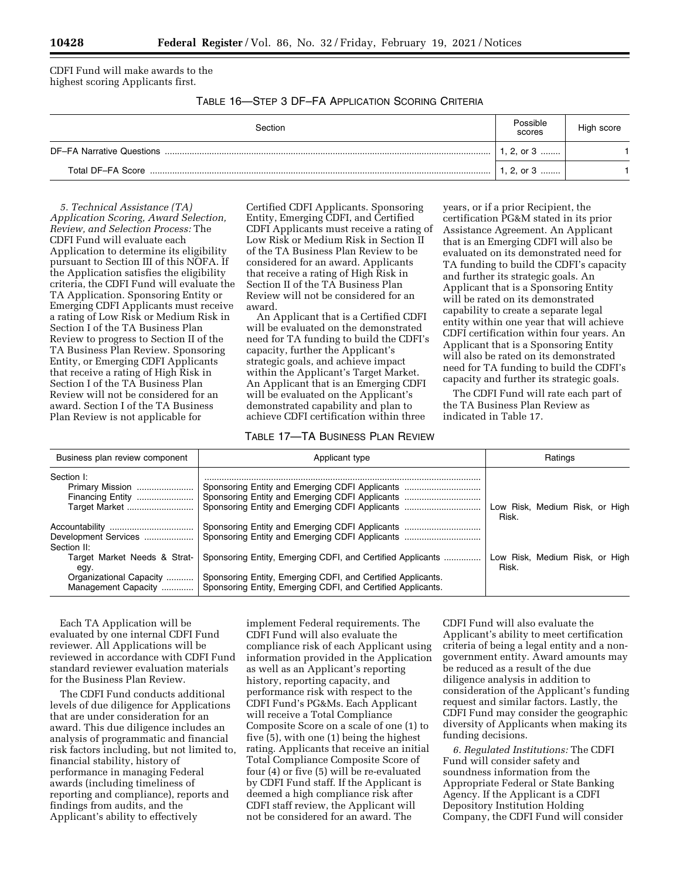CDFI Fund will make awards to the highest scoring Applicants first.

TABLE 16—STEP 3 DF–FA APPLICATION SCORING CRITERIA

| Section | Possible<br>scores | High score |
|---------|--------------------|------------|
|         | 1, 2, or $3$       |            |
|         | 1, 2, or $3$       |            |

*5. Technical Assistance (TA) Application Scoring, Award Selection, Review, and Selection Process:* The CDFI Fund will evaluate each Application to determine its eligibility pursuant to Section III of this NOFA. If the Application satisfies the eligibility criteria, the CDFI Fund will evaluate the TA Application. Sponsoring Entity or Emerging CDFI Applicants must receive a rating of Low Risk or Medium Risk in Section I of the TA Business Plan Review to progress to Section II of the TA Business Plan Review. Sponsoring Entity, or Emerging CDFI Applicants that receive a rating of High Risk in Section I of the TA Business Plan Review will not be considered for an award. Section I of the TA Business Plan Review is not applicable for

Certified CDFI Applicants. Sponsoring Entity, Emerging CDFI, and Certified CDFI Applicants must receive a rating of Low Risk or Medium Risk in Section II of the TA Business Plan Review to be considered for an award. Applicants that receive a rating of High Risk in Section II of the TA Business Plan Review will not be considered for an award.

An Applicant that is a Certified CDFI will be evaluated on the demonstrated need for TA funding to build the CDFI's capacity, further the Applicant's strategic goals, and achieve impact within the Applicant's Target Market. An Applicant that is an Emerging CDFI will be evaluated on the Applicant's demonstrated capability and plan to achieve CDFI certification within three

## TABLE 17—TA BUSINESS PLAN REVIEW

years, or if a prior Recipient, the certification PG&M stated in its prior Assistance Agreement. An Applicant that is an Emerging CDFI will also be evaluated on its demonstrated need for TA funding to build the CDFI's capacity and further its strategic goals. An Applicant that is a Sponsoring Entity will be rated on its demonstrated capability to create a separate legal entity within one year that will achieve CDFI certification within four years. An Applicant that is a Sponsoring Entity will also be rated on its demonstrated need for TA funding to build the CDFI's capacity and further its strategic goals.

The CDFI Fund will rate each part of the TA Business Plan Review as indicated in Table 17.

| Business plan review component                                                         | Applicant type                                                                                                                                                                           | Ratings                                 |
|----------------------------------------------------------------------------------------|------------------------------------------------------------------------------------------------------------------------------------------------------------------------------------------|-----------------------------------------|
| Section I:<br>Primary Mission<br>Financing Entity<br>Target Market                     | Sponsoring Entity and Emerging CDFI Applicants<br>Sponsoring Entity and Emerging CDFI Applicants                                                                                         | Low Risk, Medium Risk, or High<br>Risk. |
| Development Services<br>Section II:                                                    | Sponsoring Entity and Emerging CDFI Applicants                                                                                                                                           |                                         |
| Target Market Needs & Strat-<br>egy.<br>Organizational Capacity<br>Management Capacity | Sponsoring Entity, Emerging CDFI, and Certified Applicants<br>Sponsoring Entity, Emerging CDFI, and Certified Applicants.<br>Sponsoring Entity, Emerging CDFI, and Certified Applicants. | Low Risk, Medium Risk, or High<br>Risk. |

Each TA Application will be evaluated by one internal CDFI Fund reviewer. All Applications will be reviewed in accordance with CDFI Fund standard reviewer evaluation materials for the Business Plan Review.

The CDFI Fund conducts additional levels of due diligence for Applications that are under consideration for an award. This due diligence includes an analysis of programmatic and financial risk factors including, but not limited to, financial stability, history of performance in managing Federal awards (including timeliness of reporting and compliance), reports and findings from audits, and the Applicant's ability to effectively

implement Federal requirements. The CDFI Fund will also evaluate the compliance risk of each Applicant using information provided in the Application as well as an Applicant's reporting history, reporting capacity, and performance risk with respect to the CDFI Fund's PG&Ms. Each Applicant will receive a Total Compliance Composite Score on a scale of one (1) to five (5), with one (1) being the highest rating. Applicants that receive an initial Total Compliance Composite Score of four (4) or five (5) will be re-evaluated by CDFI Fund staff. If the Applicant is deemed a high compliance risk after CDFI staff review, the Applicant will not be considered for an award. The

CDFI Fund will also evaluate the Applicant's ability to meet certification criteria of being a legal entity and a nongovernment entity. Award amounts may be reduced as a result of the due diligence analysis in addition to consideration of the Applicant's funding request and similar factors. Lastly, the CDFI Fund may consider the geographic diversity of Applicants when making its funding decisions.

*6. Regulated Institutions:* The CDFI Fund will consider safety and soundness information from the Appropriate Federal or State Banking Agency. If the Applicant is a CDFI Depository Institution Holding Company, the CDFI Fund will consider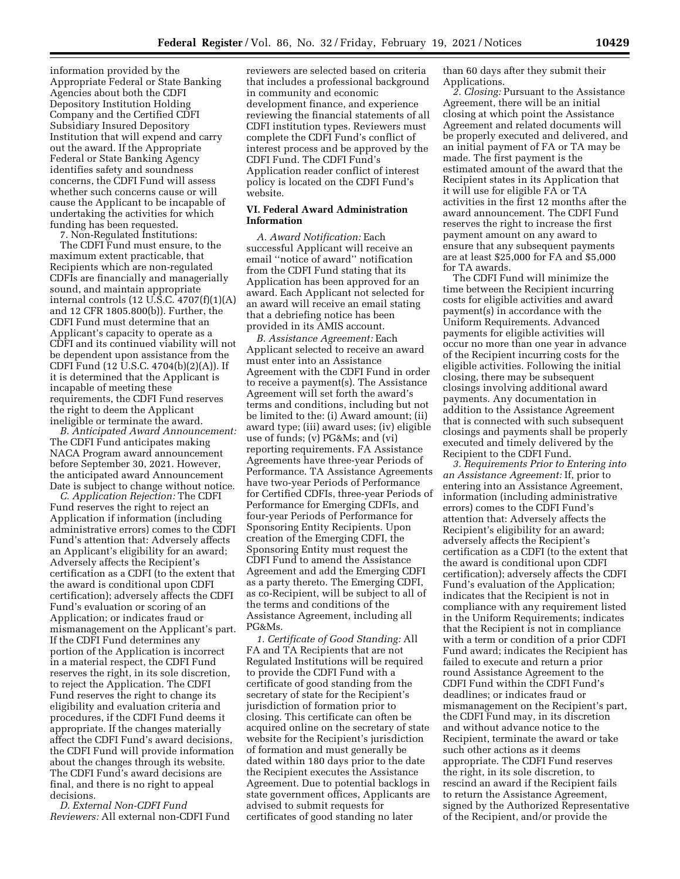information provided by the Appropriate Federal or State Banking Agencies about both the CDFI Depository Institution Holding Company and the Certified CDFI Subsidiary Insured Depository Institution that will expend and carry out the award. If the Appropriate Federal or State Banking Agency identifies safety and soundness concerns, the CDFI Fund will assess whether such concerns cause or will cause the Applicant to be incapable of undertaking the activities for which funding has been requested.

7. Non-Regulated Institutions:

The CDFI Fund must ensure, to the maximum extent practicable, that Recipients which are non-regulated CDFIs are financially and managerially sound, and maintain appropriate internal controls (12 U.S.C. 4707(f)(1)(A) and 12 CFR 1805.800(b)). Further, the CDFI Fund must determine that an Applicant's capacity to operate as a CDFI and its continued viability will not be dependent upon assistance from the CDFI Fund (12 U.S.C. 4704(b)(2)(A)). If it is determined that the Applicant is incapable of meeting these requirements, the CDFI Fund reserves the right to deem the Applicant ineligible or terminate the award.

*B. Anticipated Award Announcement:*  The CDFI Fund anticipates making NACA Program award announcement before September 30, 2021. However, the anticipated award Announcement Date is subject to change without notice.

*C. Application Rejection:* The CDFI Fund reserves the right to reject an Application if information (including administrative errors) comes to the CDFI Fund's attention that: Adversely affects an Applicant's eligibility for an award; Adversely affects the Recipient's certification as a CDFI (to the extent that the award is conditional upon CDFI certification); adversely affects the CDFI Fund's evaluation or scoring of an Application; or indicates fraud or mismanagement on the Applicant's part. If the CDFI Fund determines any portion of the Application is incorrect in a material respect, the CDFI Fund reserves the right, in its sole discretion, to reject the Application. The CDFI Fund reserves the right to change its eligibility and evaluation criteria and procedures, if the CDFI Fund deems it appropriate. If the changes materially affect the CDFI Fund's award decisions, the CDFI Fund will provide information about the changes through its website. The CDFI Fund's award decisions are final, and there is no right to appeal decisions.

*D. External Non-CDFI Fund Reviewers:* All external non-CDFI Fund

reviewers are selected based on criteria that includes a professional background in community and economic development finance, and experience reviewing the financial statements of all CDFI institution types. Reviewers must complete the CDFI Fund's conflict of interest process and be approved by the CDFI Fund. The CDFI Fund's Application reader conflict of interest policy is located on the CDFI Fund's website.

## **VI. Federal Award Administration Information**

*A. Award Notification:* Each successful Applicant will receive an email ''notice of award'' notification from the CDFI Fund stating that its Application has been approved for an award. Each Applicant not selected for an award will receive an email stating that a debriefing notice has been provided in its AMIS account.

*B. Assistance Agreement:* Each Applicant selected to receive an award must enter into an Assistance Agreement with the CDFI Fund in order to receive a payment(s). The Assistance Agreement will set forth the award's terms and conditions, including but not be limited to the: (i) Award amount; (ii) award type; (iii) award uses; (iv) eligible use of funds; (v) PG&Ms; and (vi) reporting requirements. FA Assistance Agreements have three-year Periods of Performance. TA Assistance Agreements have two-year Periods of Performance for Certified CDFIs, three-year Periods of Performance for Emerging CDFIs, and four-year Periods of Performance for Sponsoring Entity Recipients. Upon creation of the Emerging CDFI, the Sponsoring Entity must request the CDFI Fund to amend the Assistance Agreement and add the Emerging CDFI as a party thereto. The Emerging CDFI, as co-Recipient, will be subject to all of the terms and conditions of the Assistance Agreement, including all PG&Ms.

*1. Certificate of Good Standing:* All FA and TA Recipients that are not Regulated Institutions will be required to provide the CDFI Fund with a certificate of good standing from the secretary of state for the Recipient's jurisdiction of formation prior to closing. This certificate can often be acquired online on the secretary of state website for the Recipient's jurisdiction of formation and must generally be dated within 180 days prior to the date the Recipient executes the Assistance Agreement. Due to potential backlogs in state government offices, Applicants are advised to submit requests for certificates of good standing no later

than 60 days after they submit their Applications.

*2. Closing:* Pursuant to the Assistance Agreement, there will be an initial closing at which point the Assistance Agreement and related documents will be properly executed and delivered, and an initial payment of FA or TA may be made. The first payment is the estimated amount of the award that the Recipient states in its Application that it will use for eligible FA or TA activities in the first 12 months after the award announcement. The CDFI Fund reserves the right to increase the first payment amount on any award to ensure that any subsequent payments are at least \$25,000 for FA and \$5,000 for TA awards.

The CDFI Fund will minimize the time between the Recipient incurring costs for eligible activities and award payment(s) in accordance with the Uniform Requirements. Advanced payments for eligible activities will occur no more than one year in advance of the Recipient incurring costs for the eligible activities. Following the initial closing, there may be subsequent closings involving additional award payments. Any documentation in addition to the Assistance Agreement that is connected with such subsequent closings and payments shall be properly executed and timely delivered by the Recipient to the CDFI Fund.

*3. Requirements Prior to Entering into an Assistance Agreement:* If, prior to entering into an Assistance Agreement, information (including administrative errors) comes to the CDFI Fund's attention that: Adversely affects the Recipient's eligibility for an award; adversely affects the Recipient's certification as a CDFI (to the extent that the award is conditional upon CDFI certification); adversely affects the CDFI Fund's evaluation of the Application; indicates that the Recipient is not in compliance with any requirement listed in the Uniform Requirements; indicates that the Recipient is not in compliance with a term or condition of a prior CDFI Fund award; indicates the Recipient has failed to execute and return a prior round Assistance Agreement to the CDFI Fund within the CDFI Fund's deadlines; or indicates fraud or mismanagement on the Recipient's part, the CDFI Fund may, in its discretion and without advance notice to the Recipient, terminate the award or take such other actions as it deems appropriate. The CDFI Fund reserves the right, in its sole discretion, to rescind an award if the Recipient fails to return the Assistance Agreement, signed by the Authorized Representative of the Recipient, and/or provide the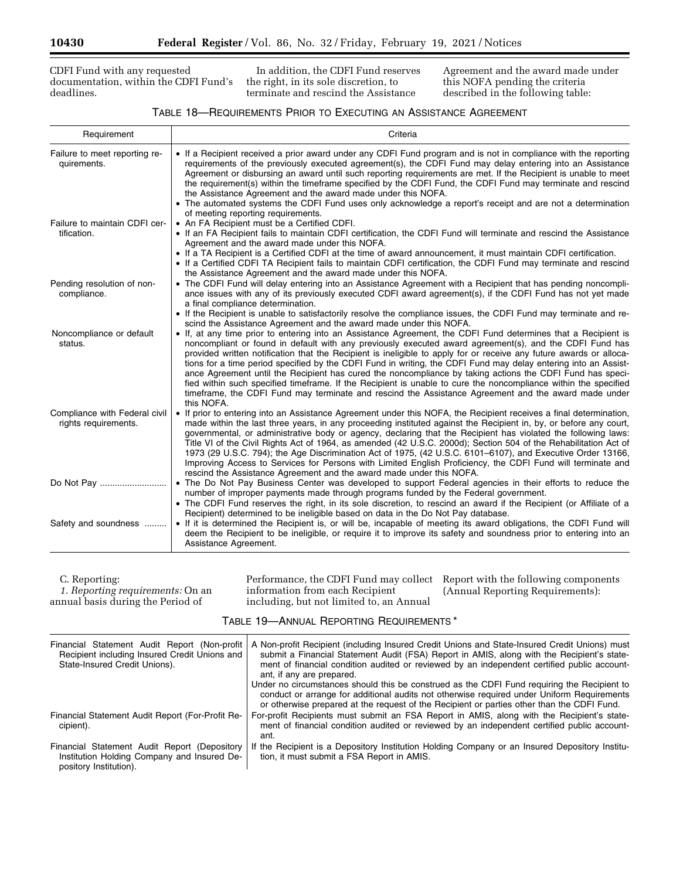CDFI Fund with any requested documentation, within the CDFI Fund's deadlines.

In addition, the CDFI Fund reserves the right, in its sole discretion, to terminate and rescind the Assistance

Agreement and the award made under this NOFA pending the criteria described in the following table:

٠

# TABLE 18—REQUIREMENTS PRIOR TO EXECUTING AN ASSISTANCE AGREEMENT

| Requirement                                           | Criteria                                                                                                                                                                                                                                                                                                                                                                                                                                                                                                                                                                                                                                                                                                                                                                                                                  |
|-------------------------------------------------------|---------------------------------------------------------------------------------------------------------------------------------------------------------------------------------------------------------------------------------------------------------------------------------------------------------------------------------------------------------------------------------------------------------------------------------------------------------------------------------------------------------------------------------------------------------------------------------------------------------------------------------------------------------------------------------------------------------------------------------------------------------------------------------------------------------------------------|
| Failure to meet reporting re-<br>quirements.          | • If a Recipient received a prior award under any CDFI Fund program and is not in compliance with the reporting<br>requirements of the previously executed agreement(s), the CDFI Fund may delay entering into an Assistance<br>Agreement or disbursing an award until such reporting requirements are met. If the Recipient is unable to meet<br>the requirement(s) within the timeframe specified by the CDFI Fund, the CDFI Fund may terminate and rescind<br>the Assistance Agreement and the award made under this NOFA.<br>• The automated systems the CDFI Fund uses only acknowledge a report's receipt and are not a determination                                                                                                                                                                               |
| Failure to maintain CDFI cer-<br>tification.          | of meeting reporting requirements.<br>• An FA Recipient must be a Certified CDFI.<br>• If an FA Recipient fails to maintain CDFI certification, the CDFI Fund will terminate and rescind the Assistance<br>Agreement and the award made under this NOFA.<br>• If a TA Recipient is a Certified CDFI at the time of award announcement, it must maintain CDFI certification.<br>• If a Certified CDFI TA Recipient fails to maintain CDFI certification, the CDFI Fund may terminate and rescind<br>the Assistance Agreement and the award made under this NOFA.                                                                                                                                                                                                                                                           |
| Pending resolution of non-<br>compliance.             | • The CDFI Fund will delay entering into an Assistance Agreement with a Recipient that has pending noncompli-<br>ance issues with any of its previously executed CDFI award agreement(s), if the CDFI Fund has not yet made<br>a final compliance determination.<br>• If the Recipient is unable to satisfactorily resolve the compliance issues, the CDFI Fund may terminate and re-<br>scind the Assistance Agreement and the award made under this NOFA.                                                                                                                                                                                                                                                                                                                                                               |
| Noncompliance or default<br>status.                   | • If, at any time prior to entering into an Assistance Agreement, the CDFI Fund determines that a Recipient is<br>noncompliant or found in default with any previously executed award agreement(s), and the CDFI Fund has<br>provided written notification that the Recipient is ineligible to apply for or receive any future awards or alloca-<br>tions for a time period specified by the CDFI Fund in writing, the CDFI Fund may delay entering into an Assist-<br>ance Agreement until the Recipient has cured the noncompliance by taking actions the CDFI Fund has speci-<br>fied within such specified timeframe. If the Recipient is unable to cure the noncompliance within the specified<br>timeframe, the CDFI Fund may terminate and rescind the Assistance Agreement and the award made under<br>this NOFA. |
| Compliance with Federal civil<br>rights requirements. | • If prior to entering into an Assistance Agreement under this NOFA, the Recipient receives a final determination,<br>made within the last three years, in any proceeding instituted against the Recipient in, by, or before any court,<br>governmental, or administrative body or agency, declaring that the Recipient has violated the following laws:<br>Title VI of the Civil Rights Act of 1964, as amended (42 U.S.C. 2000d); Section 504 of the Rehabilitation Act of<br>1973 (29 U.S.C. 794); the Age Discrimination Act of 1975, (42 U.S.C. 6101–6107), and Executive Order 13166,<br>Improving Access to Services for Persons with Limited English Proficiency, the CDFI Fund will terminate and<br>rescind the Assistance Agreement and the award made under this NOFA.                                        |
|                                                       | • The Do Not Pay Business Center was developed to support Federal agencies in their efforts to reduce the<br>number of improper payments made through programs funded by the Federal government.<br>• The CDFI Fund reserves the right, in its sole discretion, to rescind an award if the Recipient (or Affiliate of a<br>Recipient) determined to be ineligible based on data in the Do Not Pay database.                                                                                                                                                                                                                                                                                                                                                                                                               |
| Safety and soundness                                  | • If it is determined the Recipient is, or will be, incapable of meeting its award obligations, the CDFI Fund will<br>deem the Recipient to be ineligible, or require it to improve its safety and soundness prior to entering into an<br>Assistance Agreement.                                                                                                                                                                                                                                                                                                                                                                                                                                                                                                                                                           |

| C. Reporting:                     | Performance, the CDFI Fund may collect Report with the following components |                                  |
|-----------------------------------|-----------------------------------------------------------------------------|----------------------------------|
| 1. Reporting requirements: On an  | information from each Recipient                                             | (Annual Reporting Requirements): |
| annual basis during the Period of | including, but not limited to, an Annual                                    |                                  |

TABLE 19—ANNUAL REPORTING REQUIREMENTS \*

| Financial Statement Audit Report (Non-profit<br>Recipient including Insured Credit Unions and<br>State-Insured Credit Unions). | A Non-profit Recipient (including Insured Credit Unions and State-Insured Credit Unions) must<br>submit a Financial Statement Audit (FSA) Report in AMIS, along with the Recipient's state-<br>ment of financial condition audited or reviewed by an independent certified public account-<br>ant, if any are prepared. |  |
|--------------------------------------------------------------------------------------------------------------------------------|-------------------------------------------------------------------------------------------------------------------------------------------------------------------------------------------------------------------------------------------------------------------------------------------------------------------------|--|
|                                                                                                                                | Under no circumstances should this be construed as the CDFI Fund requiring the Recipient to<br>conduct or arrange for additional audits not otherwise required under Uniform Requirements<br>or otherwise prepared at the request of the Recipient or parties other than the CDFI Fund.                                 |  |
| Financial Statement Audit Report (For-Profit Re-<br>cipient).                                                                  | For-profit Recipients must submit an FSA Report in AMIS, along with the Recipient's state-<br>ment of financial condition audited or reviewed by an independent certified public account-<br>ant.                                                                                                                       |  |
| Financial Statement Audit Report (Depository<br>Institution Holding Company and Insured De-<br>pository Institution).          | If the Recipient is a Depository Institution Holding Company or an Insured Depository Institu-<br>tion, it must submit a FSA Report in AMIS.                                                                                                                                                                            |  |

<u>—</u>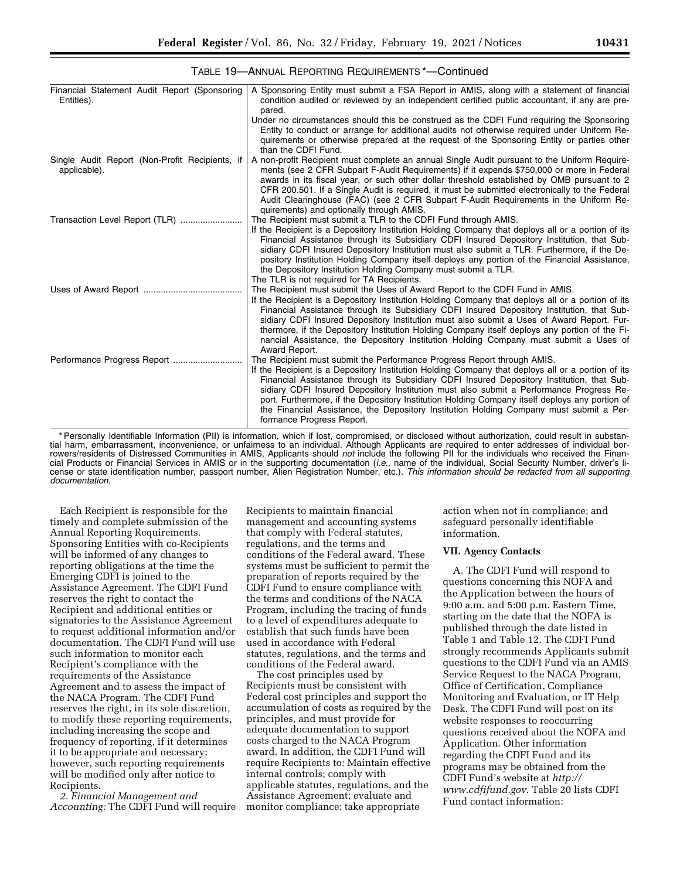| Financial Statement Audit Report (Sponsoring<br>Entities).     | A Sponsoring Entity must submit a FSA Report in AMIS, along with a statement of financial<br>condition audited or reviewed by an independent certified public accountant, if any are pre-<br>pared.                                                                                                                                                                                                                                                                                                                                                                                             |
|----------------------------------------------------------------|-------------------------------------------------------------------------------------------------------------------------------------------------------------------------------------------------------------------------------------------------------------------------------------------------------------------------------------------------------------------------------------------------------------------------------------------------------------------------------------------------------------------------------------------------------------------------------------------------|
|                                                                | Under no circumstances should this be construed as the CDFI Fund requiring the Sponsoring<br>Entity to conduct or arrange for additional audits not otherwise required under Uniform Re-<br>quirements or otherwise prepared at the request of the Sponsoring Entity or parties other<br>than the CDFI Fund.                                                                                                                                                                                                                                                                                    |
| Single Audit Report (Non-Profit Recipients, if<br>applicable). | A non-profit Recipient must complete an annual Single Audit pursuant to the Uniform Require-<br>ments (see 2 CFR Subpart F-Audit Requirements) if it expends \$750,000 or more in Federal<br>awards in its fiscal year, or such other dollar threshold established by OMB pursuant to 2<br>CFR 200.501. If a Single Audit is required, it must be submitted electronically to the Federal<br>Audit Clearinghouse (FAC) (see 2 CFR Subpart F-Audit Requirements in the Uniform Re-<br>quirements) and optionally through AMIS.                                                                   |
| Transaction Level Report (TLR)                                 | The Recipient must submit a TLR to the CDFI Fund through AMIS.<br>If the Recipient is a Depository Institution Holding Company that deploys all or a portion of its<br>Financial Assistance through its Subsidiary CDFI Insured Depository Institution, that Sub-<br>sidiary CDFI Insured Depository Institution must also submit a TLR. Furthermore, if the De-<br>pository Institution Holding Company itself deploys any portion of the Financial Assistance,<br>the Depository Institution Holding Company must submit a TLR.<br>The TLR is not required for TA Recipients.                 |
|                                                                | The Recipient must submit the Uses of Award Report to the CDFI Fund in AMIS.<br>If the Recipient is a Depository Institution Holding Company that deploys all or a portion of its<br>Financial Assistance through its Subsidiary CDFI Insured Depository Institution, that Sub-<br>sidiary CDFI Insured Depository Institution must also submit a Uses of Award Report. Fur-<br>thermore, if the Depository Institution Holding Company itself deploys any portion of the Fi-<br>nancial Assistance, the Depository Institution Holding Company must submit a Uses of<br>Award Report.          |
|                                                                | The Recipient must submit the Performance Progress Report through AMIS.<br>If the Recipient is a Depository Institution Holding Company that deploys all or a portion of its<br>Financial Assistance through its Subsidiary CDFI Insured Depository Institution, that Sub-<br>sidiary CDFI Insured Depository Institution must also submit a Performance Progress Re-<br>port. Furthermore, if the Depository Institution Holding Company itself deploys any portion of<br>the Financial Assistance, the Depository Institution Holding Company must submit a Per-<br>formance Progress Report. |

TABLE 19—ANNUAL REPORTING REQUIREMENTS \*—Continued

\* Personally Identifiable Information (PII) is information, which if lost, compromised, or disclosed without authorization, could result in substantial harm, embarrassment, inconvenience, or unfairness to an individual. Although Applicants are required to enter addresses of individual borrowers/residents of Distressed Communities in AMIS, Applicants should *not* include the following PII for the individuals who received the Financial Products or Financial Services in AMIS or in the supporting documentation (*i.e.,* name of the individual, Social Security Number, driver's license or state identification number, passport number, Alien Registration Number, etc.). *This information should be redacted from all supporting documentation.* 

Each Recipient is responsible for the timely and complete submission of the Annual Reporting Requirements. Sponsoring Entities with co-Recipients will be informed of any changes to reporting obligations at the time the Emerging CDFI is joined to the Assistance Agreement. The CDFI Fund reserves the right to contact the Recipient and additional entities or signatories to the Assistance Agreement to request additional information and/or documentation. The CDFI Fund will use such information to monitor each Recipient's compliance with the requirements of the Assistance Agreement and to assess the impact of the NACA Program. The CDFI Fund reserves the right, in its sole discretion, to modify these reporting requirements, including increasing the scope and frequency of reporting, if it determines it to be appropriate and necessary; however, such reporting requirements will be modified only after notice to Recipients.

*2. Financial Management and Accounting:* The CDFI Fund will require

Recipients to maintain financial management and accounting systems that comply with Federal statutes, regulations, and the terms and conditions of the Federal award. These systems must be sufficient to permit the preparation of reports required by the CDFI Fund to ensure compliance with the terms and conditions of the NACA Program, including the tracing of funds to a level of expenditures adequate to establish that such funds have been used in accordance with Federal statutes, regulations, and the terms and conditions of the Federal award.

The cost principles used by Recipients must be consistent with Federal cost principles and support the accumulation of costs as required by the principles, and must provide for adequate documentation to support costs charged to the NACA Program award. In addition, the CDFI Fund will require Recipients to: Maintain effective internal controls; comply with applicable statutes, regulations, and the Assistance Agreement; evaluate and monitor compliance; take appropriate

action when not in compliance; and safeguard personally identifiable information.

#### **VII. Agency Contacts**

A. The CDFI Fund will respond to questions concerning this NOFA and the Application between the hours of 9:00 a.m. and 5:00 p.m. Eastern Time, starting on the date that the NOFA is published through the date listed in Table 1 and Table 12. The CDFI Fund strongly recommends Applicants submit questions to the CDFI Fund via an AMIS Service Request to the NACA Program, Office of Certification, Compliance Monitoring and Evaluation, or IT Help Desk. The CDFI Fund will post on its website responses to reoccurring questions received about the NOFA and Application. Other information regarding the CDFI Fund and its programs may be obtained from the CDFI Fund's website at *[http://](http://www.cdfifund.gov) [www.cdfifund.gov.](http://www.cdfifund.gov)* Table 20 lists CDFI Fund contact information: